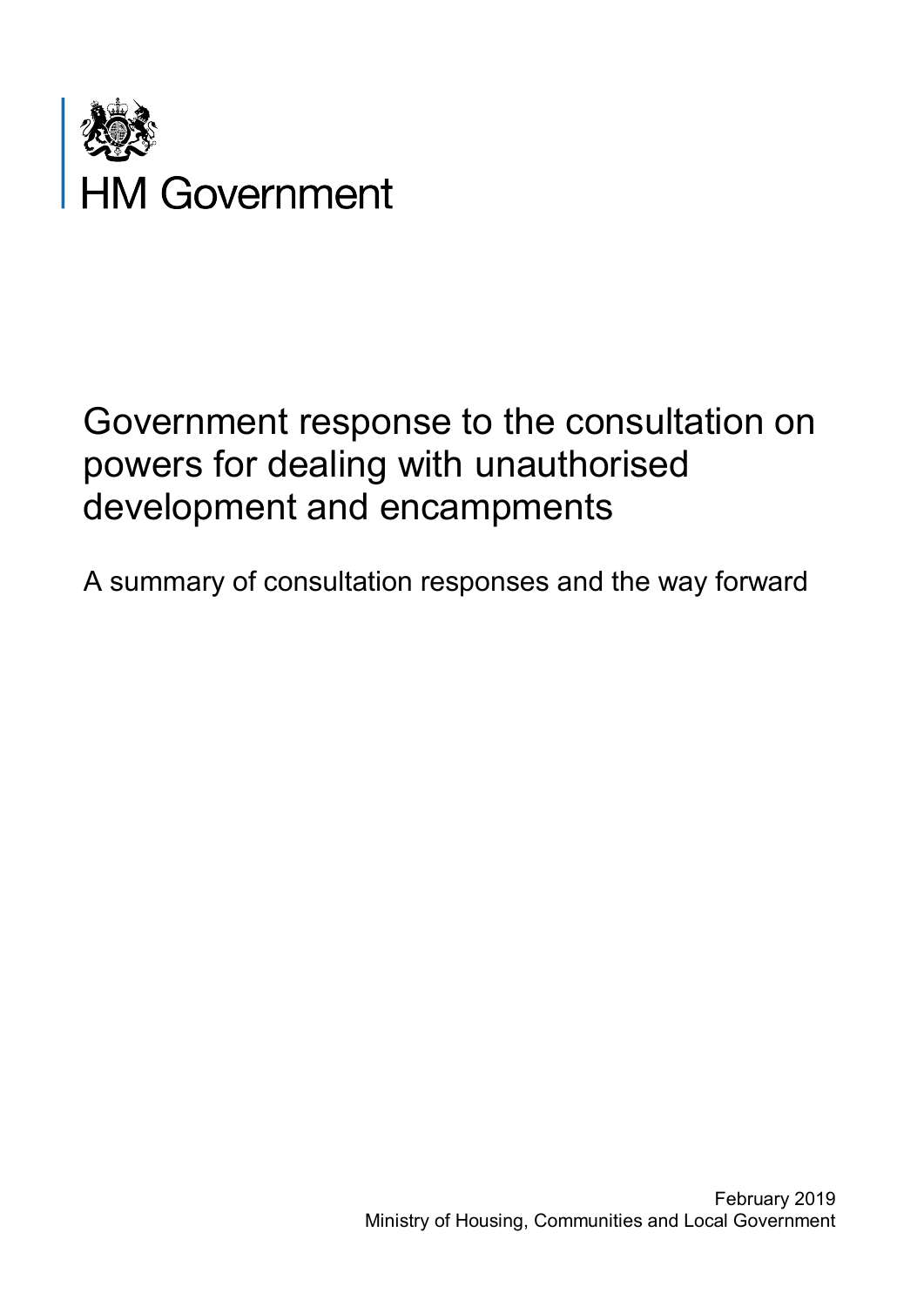

# Government response to the consultation on powers for dealing with unauthorised development and encampments

A summary of consultation responses and the way forward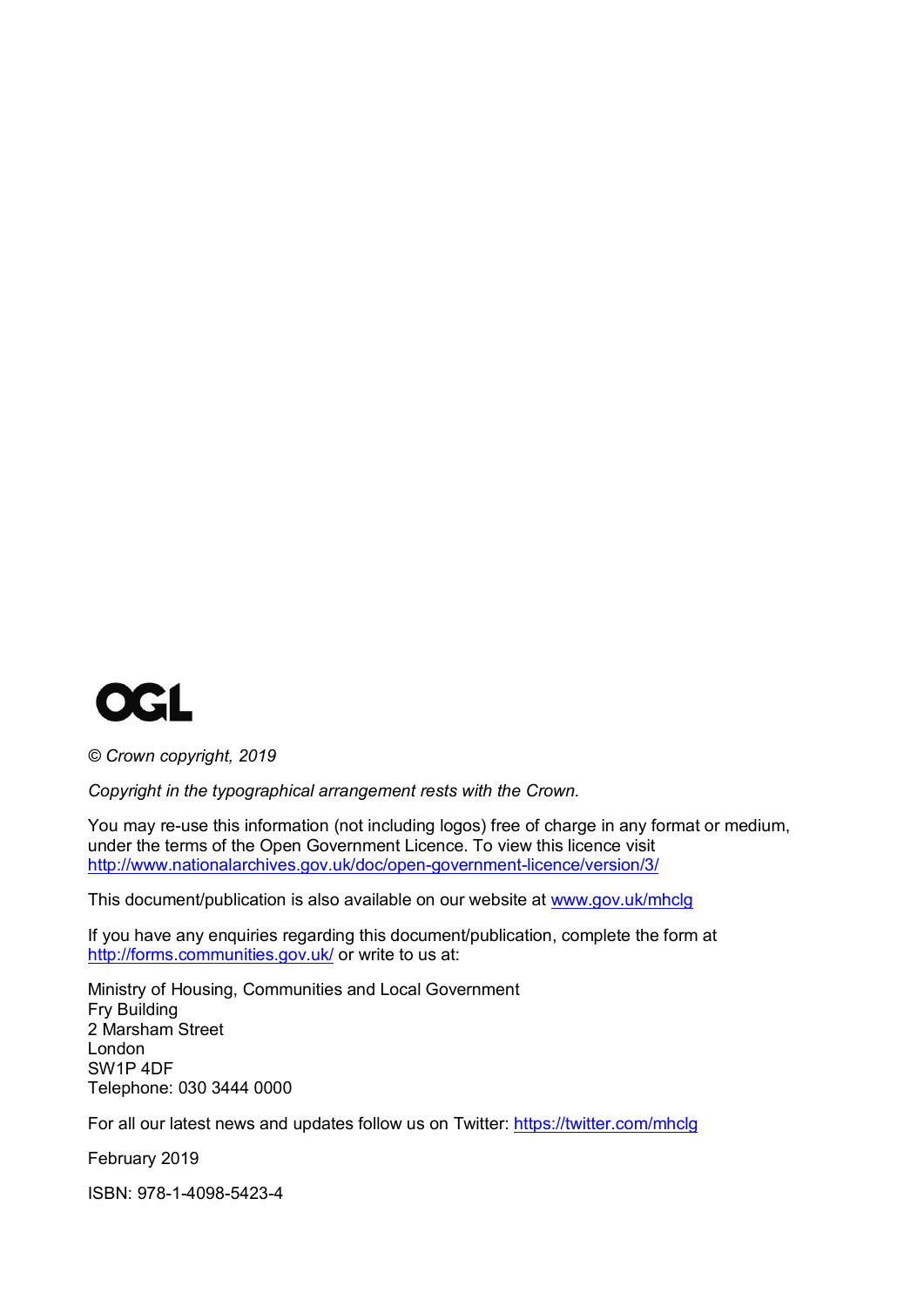

*© Crown copyright, 2019*

*Copyright in the typographical arrangement rests with the Crown.*

You may re-use this information (not including logos) free of charge in any format or medium, under the terms of the Open Government Licence. To view this licence visit <http://www.nationalarchives.gov.uk/doc/open-government-licence/version/3/>

This document/publication is also available on our website at [www.gov.uk/mhclg](http://www.gov.uk/mhclg)

If you have any enquiries regarding this document/publication, complete the form at <http://forms.communities.gov.uk/> or write to us at:

Ministry of Housing, Communities and Local Government Fry Building 2 Marsham Street London SW1P 4DF Telephone: 030 3444 0000

For all our latest news and updates follow us on Twitter:<https://twitter.com/mhclg>

February 2019

ISBN: 978-1-4098-5423-4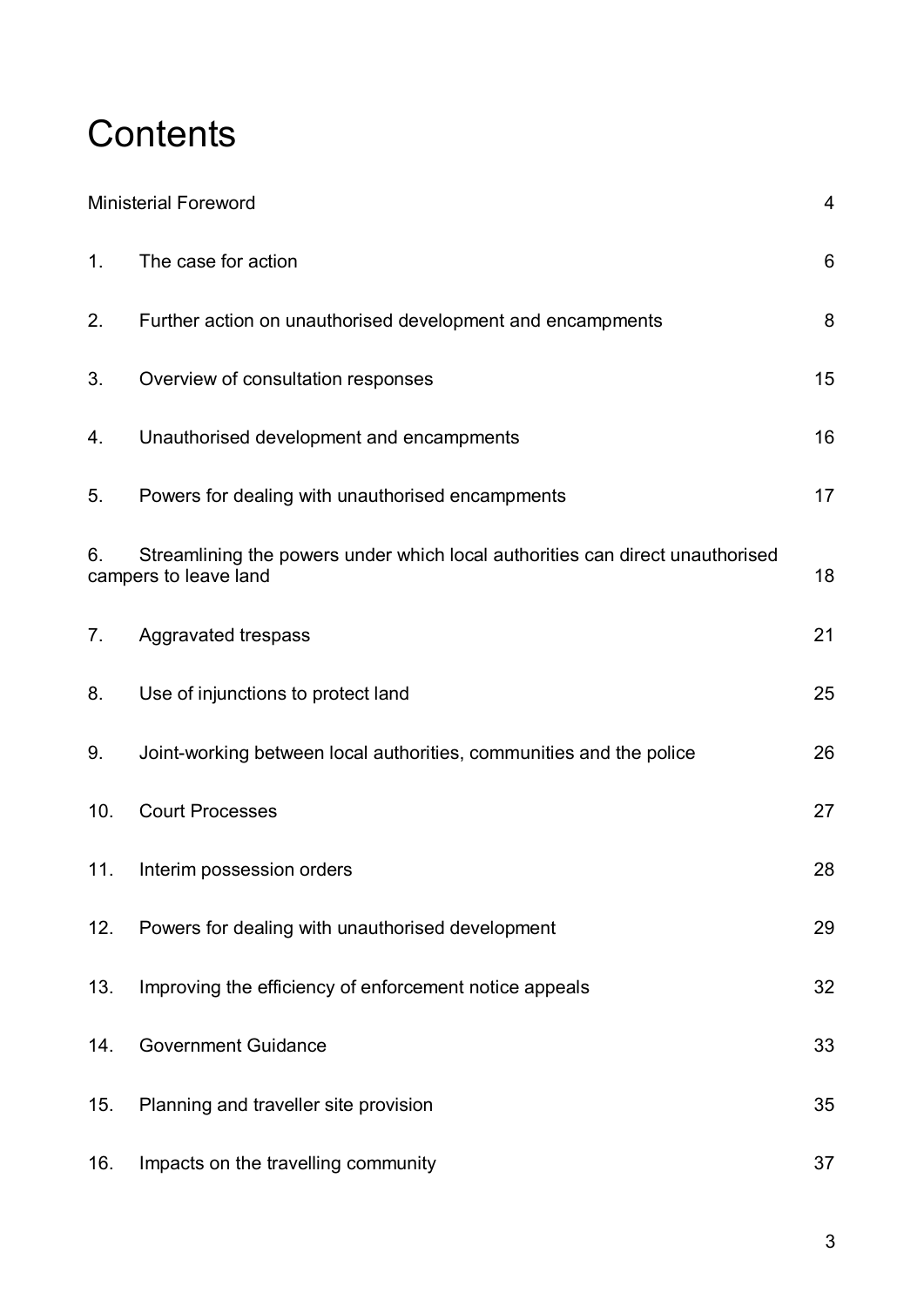# **Contents**

| <b>Ministerial Foreword</b> |                                                                                                        | $\overline{4}$ |
|-----------------------------|--------------------------------------------------------------------------------------------------------|----------------|
| 1.                          | The case for action                                                                                    | 6              |
| 2.                          | Further action on unauthorised development and encampments                                             | 8              |
| 3.                          | Overview of consultation responses                                                                     | 15             |
| 4.                          | Unauthorised development and encampments                                                               | 16             |
| 5.                          | Powers for dealing with unauthorised encampments                                                       | 17             |
| 6.                          | Streamlining the powers under which local authorities can direct unauthorised<br>campers to leave land | 18             |
| 7.                          | Aggravated trespass                                                                                    | 21             |
| 8.                          | Use of injunctions to protect land                                                                     | 25             |
| 9.                          | Joint-working between local authorities, communities and the police                                    | 26             |
| 10.                         | <b>Court Processes</b>                                                                                 | 27             |
| 11.                         | Interim possession orders                                                                              | 28             |
| 12.                         | Powers for dealing with unauthorised development                                                       | 29             |
| 13.                         | Improving the efficiency of enforcement notice appeals                                                 | 32             |
| 14.                         | <b>Government Guidance</b>                                                                             | 33             |
| 15.                         | Planning and traveller site provision                                                                  | 35             |
| 16.                         | Impacts on the travelling community                                                                    | 37             |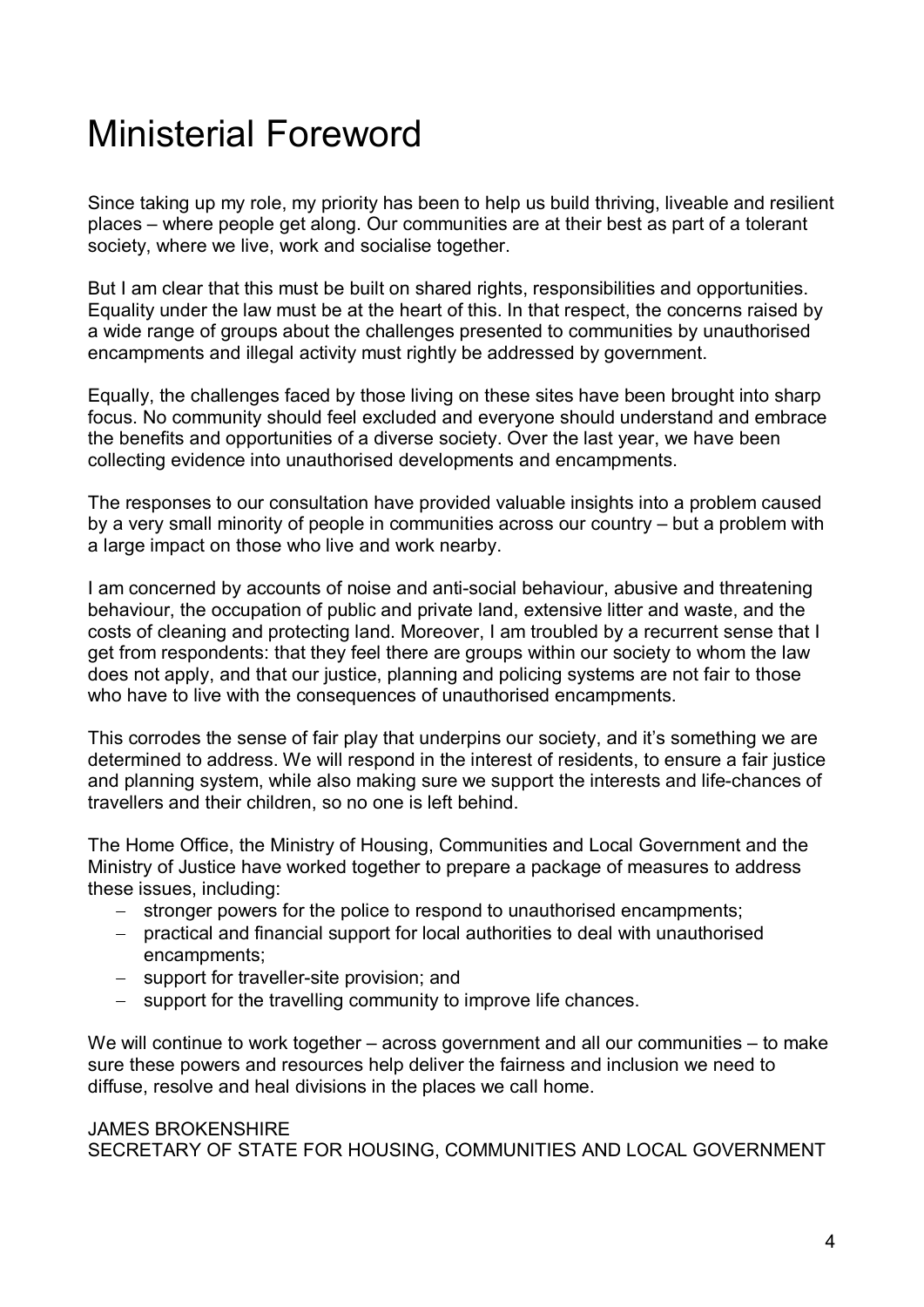# Ministerial Foreword

Since taking up my role, my priority has been to help us build thriving, liveable and resilient places – where people get along. Our communities are at their best as part of a tolerant society, where we live, work and socialise together.

But I am clear that this must be built on shared rights, responsibilities and opportunities. Equality under the law must be at the heart of this. In that respect, the concerns raised by a wide range of groups about the challenges presented to communities by unauthorised encampments and illegal activity must rightly be addressed by government.

Equally, the challenges faced by those living on these sites have been brought into sharp focus. No community should feel excluded and everyone should understand and embrace the benefits and opportunities of a diverse society. Over the last year, we have been collecting evidence into unauthorised developments and encampments.

The responses to our consultation have provided valuable insights into a problem caused by a very small minority of people in communities across our country – but a problem with a large impact on those who live and work nearby.

I am concerned by accounts of noise and anti-social behaviour, abusive and threatening behaviour, the occupation of public and private land, extensive litter and waste, and the costs of cleaning and protecting land. Moreover, I am troubled by a recurrent sense that I get from respondents: that they feel there are groups within our society to whom the law does not apply, and that our justice, planning and policing systems are not fair to those who have to live with the consequences of unauthorised encampments.

This corrodes the sense of fair play that underpins our society, and it's something we are determined to address. We will respond in the interest of residents, to ensure a fair justice and planning system, while also making sure we support the interests and life-chances of travellers and their children, so no one is left behind.

The Home Office, the Ministry of Housing, Communities and Local Government and the Ministry of Justice have worked together to prepare a package of measures to address these issues, including:

- − stronger powers for the police to respond to unauthorised encampments;
- − practical and financial support for local authorities to deal with unauthorised encampments;
- − support for traveller-site provision; and
- − support for the travelling community to improve life chances.

We will continue to work together – across government and all our communities – to make sure these powers and resources help deliver the fairness and inclusion we need to diffuse, resolve and heal divisions in the places we call home.

#### JAMES BROKENSHIRE SECRETARY OF STATE FOR HOUSING, COMMUNITIES AND LOCAL GOVERNMENT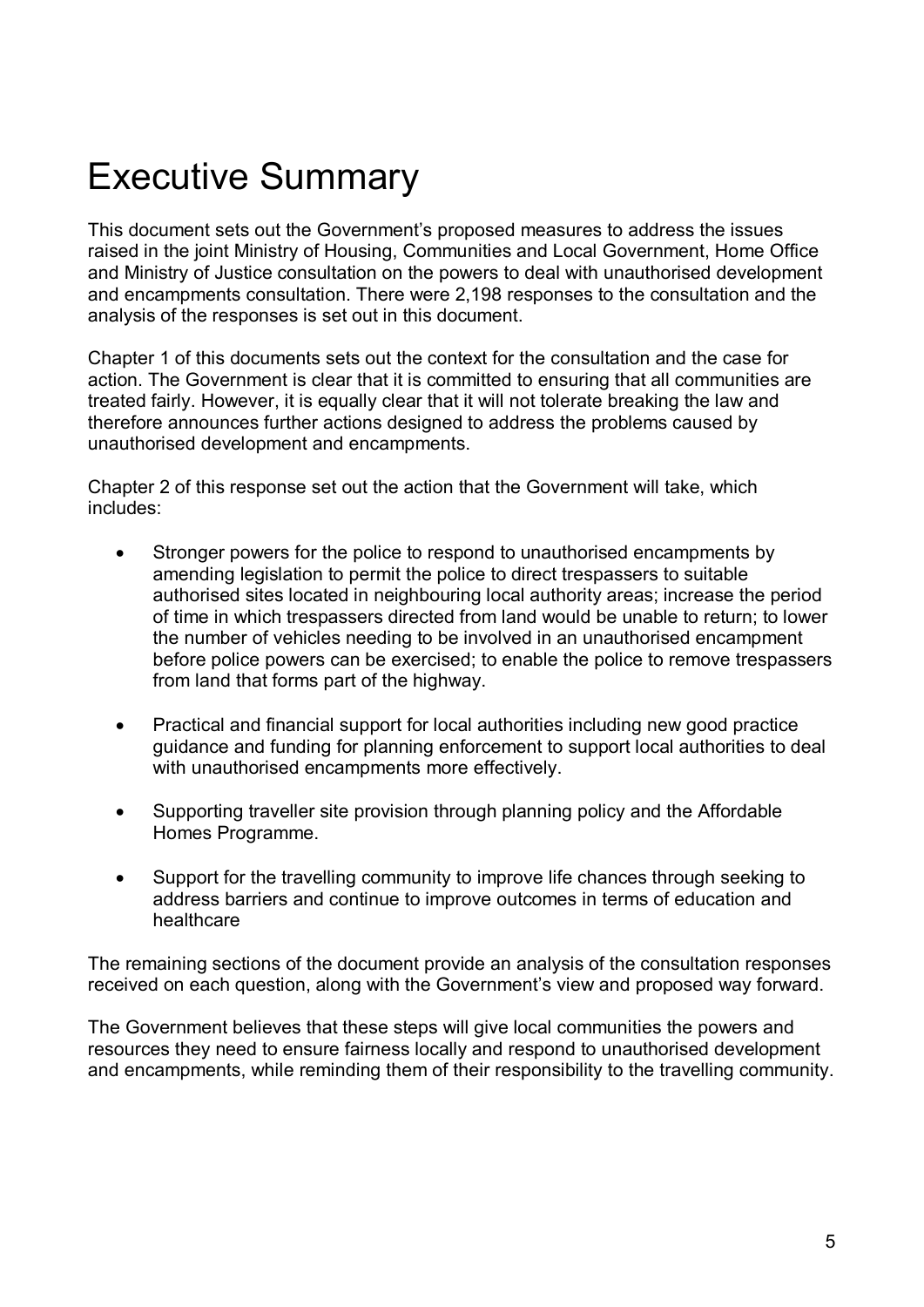# Executive Summary

This document sets out the Government's proposed measures to address the issues raised in the joint Ministry of Housing, Communities and Local Government, Home Office and Ministry of Justice consultation on the powers to deal with unauthorised development and encampments consultation. There were 2,198 responses to the consultation and the analysis of the responses is set out in this document.

Chapter 1 of this documents sets out the context for the consultation and the case for action. The Government is clear that it is committed to ensuring that all communities are treated fairly. However, it is equally clear that it will not tolerate breaking the law and therefore announces further actions designed to address the problems caused by unauthorised development and encampments.

Chapter 2 of this response set out the action that the Government will take, which includes:

- Stronger powers for the police to respond to unauthorised encampments by amending legislation to permit the police to direct trespassers to suitable authorised sites located in neighbouring local authority areas; increase the period of time in which trespassers directed from land would be unable to return; to lower the number of vehicles needing to be involved in an unauthorised encampment before police powers can be exercised; to enable the police to remove trespassers from land that forms part of the highway.
- Practical and financial support for local authorities including new good practice guidance and funding for planning enforcement to support local authorities to deal with unauthorised encampments more effectively.
- Supporting traveller site provision through planning policy and the Affordable Homes Programme.
- Support for the travelling community to improve life chances through seeking to address barriers and continue to improve outcomes in terms of education and healthcare

The remaining sections of the document provide an analysis of the consultation responses received on each question, along with the Government's view and proposed way forward.

The Government believes that these steps will give local communities the powers and resources they need to ensure fairness locally and respond to unauthorised development and encampments, while reminding them of their responsibility to the travelling community.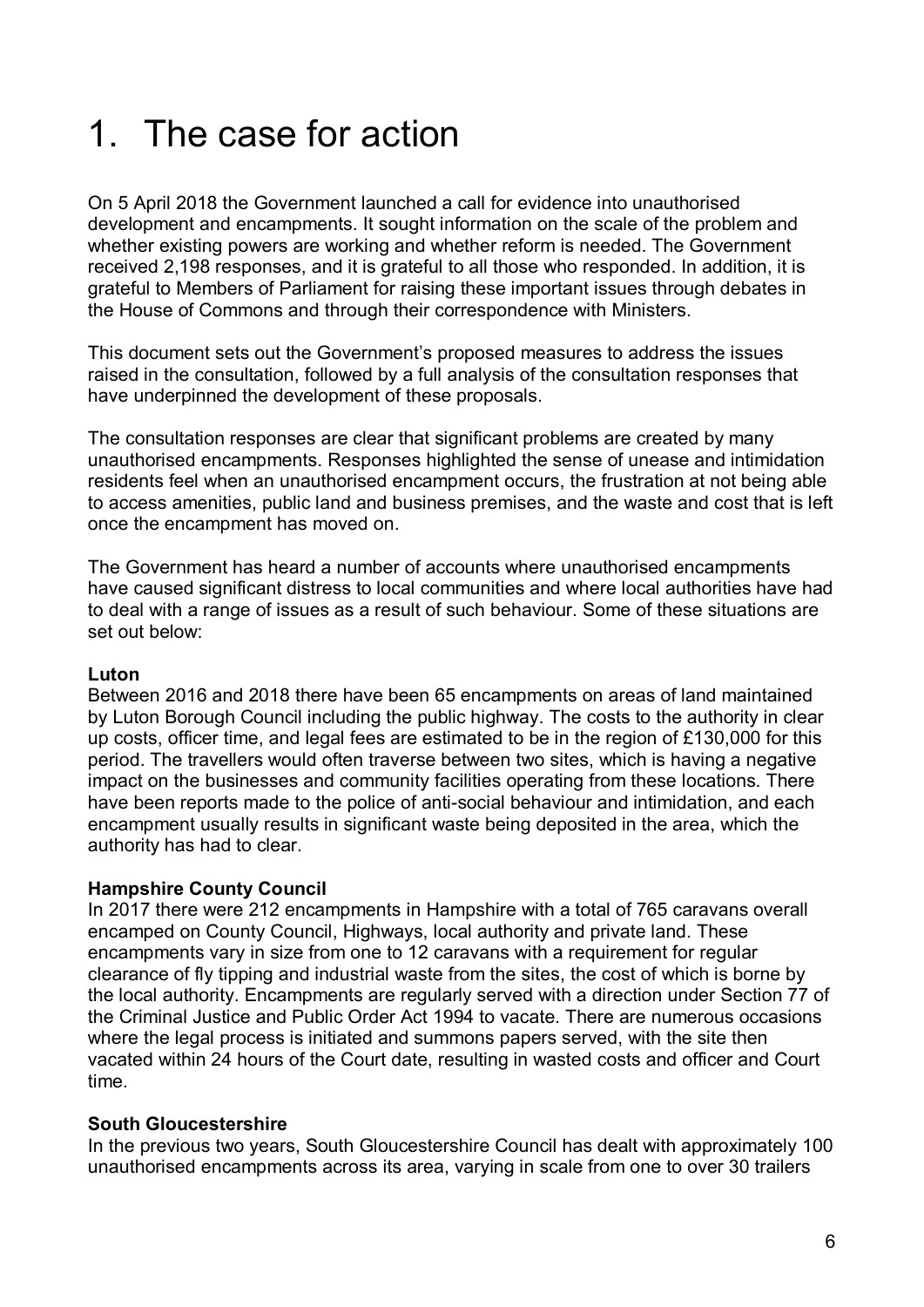# 1. The case for action

On 5 April 2018 the Government launched a call for evidence into unauthorised development and encampments. It sought information on the scale of the problem and whether existing powers are working and whether reform is needed. The Government received 2,198 responses, and it is grateful to all those who responded. In addition, it is grateful to Members of Parliament for raising these important issues through debates in the House of Commons and through their correspondence with Ministers.

This document sets out the Government's proposed measures to address the issues raised in the consultation, followed by a full analysis of the consultation responses that have underpinned the development of these proposals.

The consultation responses are clear that significant problems are created by many unauthorised encampments. Responses highlighted the sense of unease and intimidation residents feel when an unauthorised encampment occurs, the frustration at not being able to access amenities, public land and business premises, and the waste and cost that is left once the encampment has moved on.

The Government has heard a number of accounts where unauthorised encampments have caused significant distress to local communities and where local authorities have had to deal with a range of issues as a result of such behaviour. Some of these situations are set out below:

#### **Luton**

Between 2016 and 2018 there have been 65 encampments on areas of land maintained by Luton Borough Council including the public highway. The costs to the authority in clear up costs, officer time, and legal fees are estimated to be in the region of £130,000 for this period. The travellers would often traverse between two sites, which is having a negative impact on the businesses and community facilities operating from these locations. There have been reports made to the police of anti-social behaviour and intimidation, and each encampment usually results in significant waste being deposited in the area, which the authority has had to clear.

### **Hampshire County Council**

In 2017 there were 212 encampments in Hampshire with a total of 765 caravans overall encamped on County Council, Highways, local authority and private land. These encampments vary in size from one to 12 caravans with a requirement for regular clearance of fly tipping and industrial waste from the sites, the cost of which is borne by the local authority. Encampments are regularly served with a direction under Section 77 of the Criminal Justice and Public Order Act 1994 to vacate. There are numerous occasions where the legal process is initiated and summons papers served, with the site then vacated within 24 hours of the Court date, resulting in wasted costs and officer and Court time.

#### **South Gloucestershire**

In the previous two years, South Gloucestershire Council has dealt with approximately 100 unauthorised encampments across its area, varying in scale from one to over 30 trailers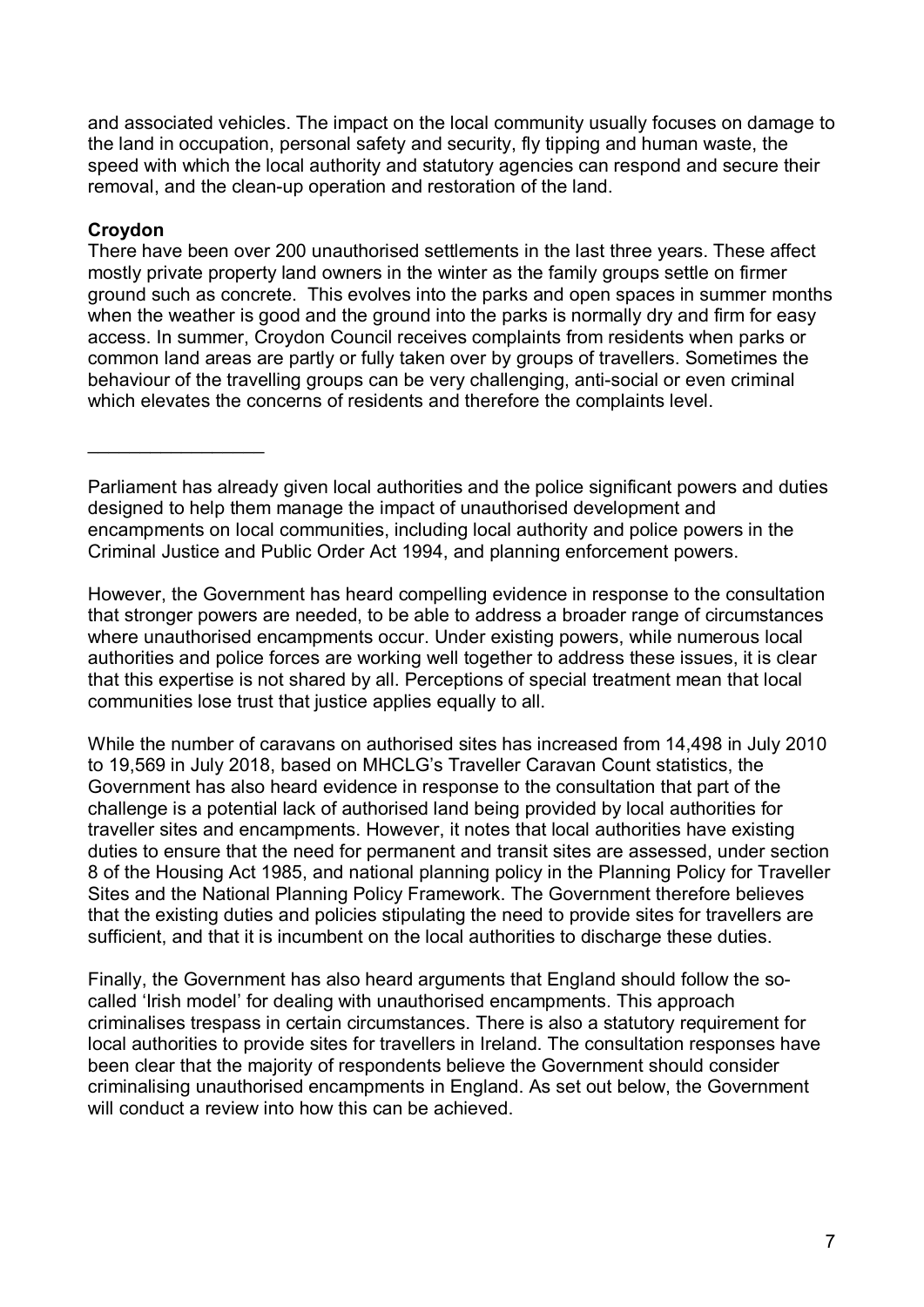and associated vehicles. The impact on the local community usually focuses on damage to the land in occupation, personal safety and security, fly tipping and human waste, the speed with which the local authority and statutory agencies can respond and secure their removal, and the clean-up operation and restoration of the land.

### **Croydon**

\_\_\_\_\_\_\_\_\_\_\_\_\_\_\_\_\_

There have been over 200 unauthorised settlements in the last three years. These affect mostly private property land owners in the winter as the family groups settle on firmer ground such as concrete. This evolves into the parks and open spaces in summer months when the weather is good and the ground into the parks is normally dry and firm for easy access. In summer, Croydon Council receives complaints from residents when parks or common land areas are partly or fully taken over by groups of travellers. Sometimes the behaviour of the travelling groups can be very challenging, anti-social or even criminal which elevates the concerns of residents and therefore the complaints level.

However, the Government has heard compelling evidence in response to the consultation that stronger powers are needed, to be able to address a broader range of circumstances where unauthorised encampments occur. Under existing powers, while numerous local authorities and police forces are working well together to address these issues, it is clear that this expertise is not shared by all. Perceptions of special treatment mean that local communities lose trust that justice applies equally to all.

While the number of caravans on authorised sites has increased from 14,498 in July 2010 to 19,569 in July 2018, based on MHCLG's Traveller Caravan Count statistics, the Government has also heard evidence in response to the consultation that part of the challenge is a potential lack of authorised land being provided by local authorities for traveller sites and encampments. However, it notes that local authorities have existing duties to ensure that the need for permanent and transit sites are assessed, under section 8 of the Housing Act 1985, and national planning policy in the Planning Policy for Traveller Sites and the National Planning Policy Framework. The Government therefore believes that the existing duties and policies stipulating the need to provide sites for travellers are sufficient, and that it is incumbent on the local authorities to discharge these duties.

Finally, the Government has also heard arguments that England should follow the socalled 'Irish model' for dealing with unauthorised encampments. This approach criminalises trespass in certain circumstances. There is also a statutory requirement for local authorities to provide sites for travellers in Ireland. The consultation responses have been clear that the majority of respondents believe the Government should consider criminalising unauthorised encampments in England. As set out below, the Government will conduct a review into how this can be achieved.

Parliament has already given local authorities and the police significant powers and duties designed to help them manage the impact of unauthorised development and encampments on local communities, including local authority and police powers in the Criminal Justice and Public Order Act 1994, and planning enforcement powers.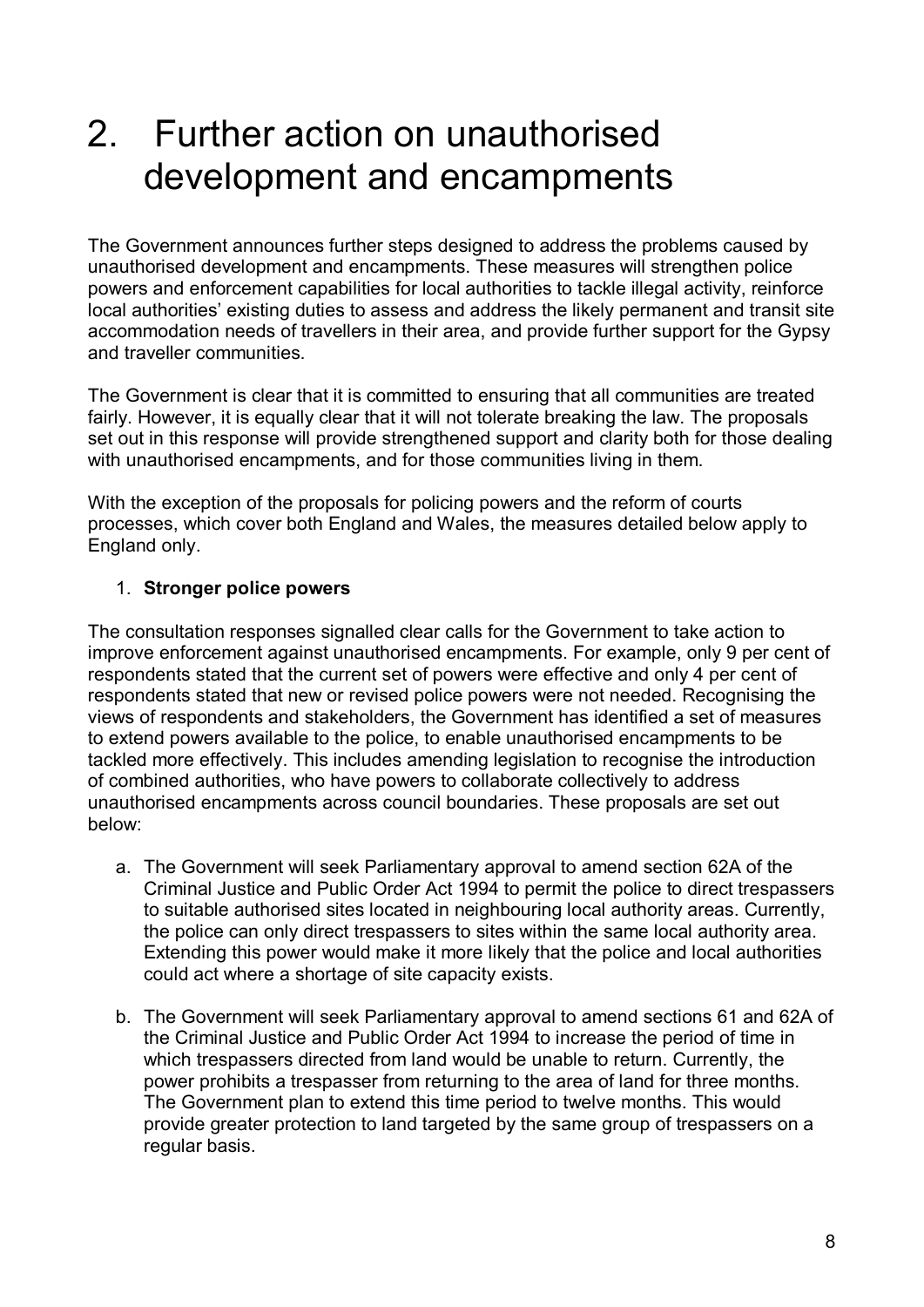# 2. Further action on unauthorised development and encampments

The Government announces further steps designed to address the problems caused by unauthorised development and encampments. These measures will strengthen police powers and enforcement capabilities for local authorities to tackle illegal activity, reinforce local authorities' existing duties to assess and address the likely permanent and transit site accommodation needs of travellers in their area, and provide further support for the Gypsy and traveller communities.

The Government is clear that it is committed to ensuring that all communities are treated fairly. However, it is equally clear that it will not tolerate breaking the law. The proposals set out in this response will provide strengthened support and clarity both for those dealing with unauthorised encampments, and for those communities living in them.

With the exception of the proposals for policing powers and the reform of courts processes, which cover both England and Wales, the measures detailed below apply to England only.

### 1. **Stronger police powers**

The consultation responses signalled clear calls for the Government to take action to improve enforcement against unauthorised encampments. For example, only 9 per cent of respondents stated that the current set of powers were effective and only 4 per cent of respondents stated that new or revised police powers were not needed. Recognising the views of respondents and stakeholders, the Government has identified a set of measures to extend powers available to the police, to enable unauthorised encampments to be tackled more effectively. This includes amending legislation to recognise the introduction of combined authorities, who have powers to collaborate collectively to address unauthorised encampments across council boundaries. These proposals are set out below:

- a. The Government will seek Parliamentary approval to amend section 62A of the Criminal Justice and Public Order Act 1994 to permit the police to direct trespassers to suitable authorised sites located in neighbouring local authority areas. Currently, the police can only direct trespassers to sites within the same local authority area. Extending this power would make it more likely that the police and local authorities could act where a shortage of site capacity exists.
- b. The Government will seek Parliamentary approval to amend sections 61 and 62A of the Criminal Justice and Public Order Act 1994 to increase the period of time in which trespassers directed from land would be unable to return. Currently, the power prohibits a trespasser from returning to the area of land for three months. The Government plan to extend this time period to twelve months. This would provide greater protection to land targeted by the same group of trespassers on a regular basis.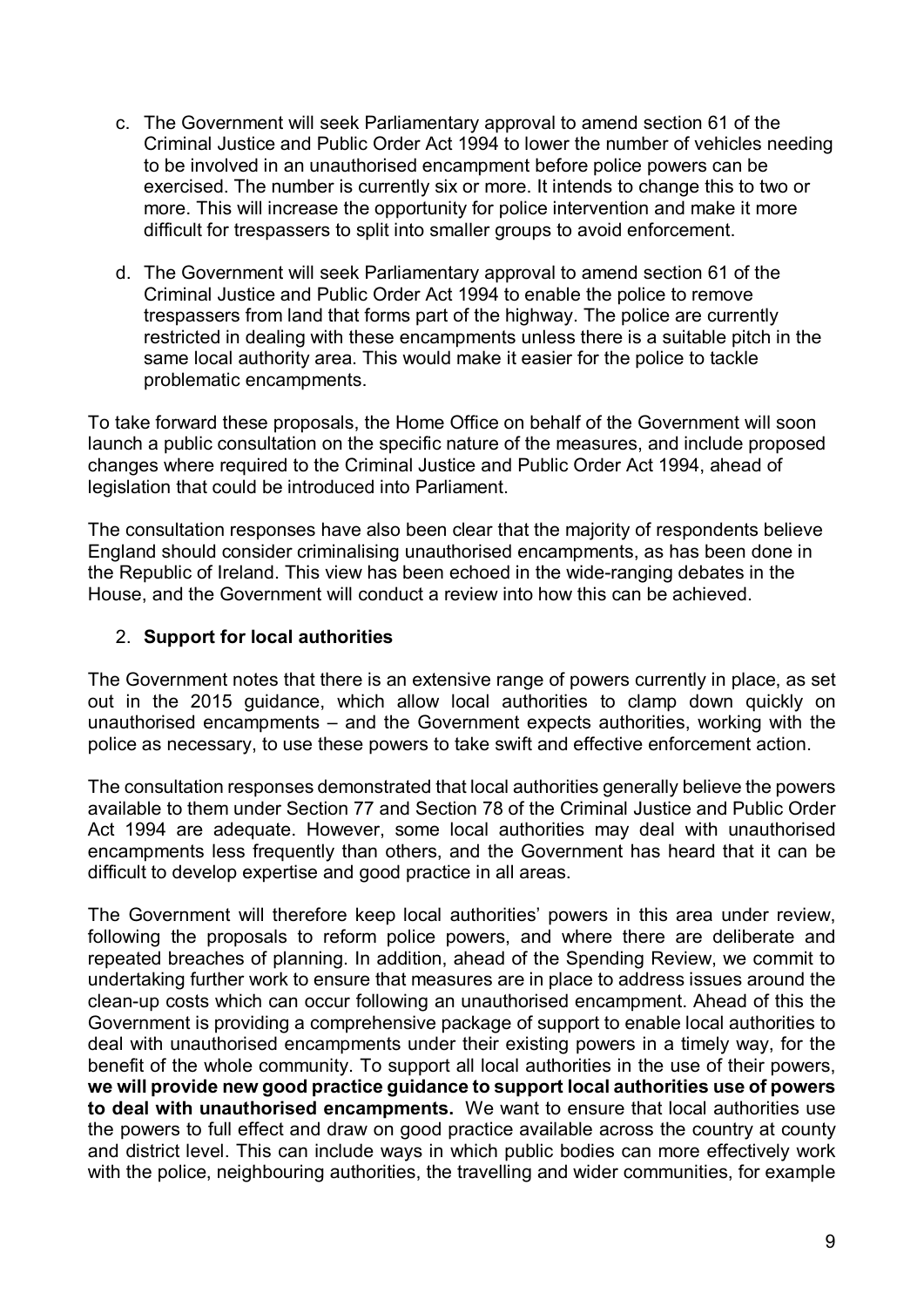- c. The Government will seek Parliamentary approval to amend section 61 of the Criminal Justice and Public Order Act 1994 to lower the number of vehicles needing to be involved in an unauthorised encampment before police powers can be exercised. The number is currently six or more. It intends to change this to two or more. This will increase the opportunity for police intervention and make it more difficult for trespassers to split into smaller groups to avoid enforcement.
- d. The Government will seek Parliamentary approval to amend section 61 of the Criminal Justice and Public Order Act 1994 to enable the police to remove trespassers from land that forms part of the highway. The police are currently restricted in dealing with these encampments unless there is a suitable pitch in the same local authority area. This would make it easier for the police to tackle problematic encampments.

To take forward these proposals, the Home Office on behalf of the Government will soon launch a public consultation on the specific nature of the measures, and include proposed changes where required to the Criminal Justice and Public Order Act 1994, ahead of legislation that could be introduced into Parliament.

The consultation responses have also been clear that the majority of respondents believe England should consider criminalising unauthorised encampments, as has been done in the Republic of Ireland. This view has been echoed in the wide-ranging debates in the House, and the Government will conduct a review into how this can be achieved.

### 2. **Support for local authorities**

The Government notes that there is an extensive range of powers currently in place, as set out in the 2015 guidance, which allow local authorities to clamp down quickly on unauthorised encampments – and the Government expects authorities, working with the police as necessary, to use these powers to take swift and effective enforcement action.

The consultation responses demonstrated that local authorities generally believe the powers available to them under Section 77 and Section 78 of the Criminal Justice and Public Order Act 1994 are adequate. However, some local authorities may deal with unauthorised encampments less frequently than others, and the Government has heard that it can be difficult to develop expertise and good practice in all areas.

The Government will therefore keep local authorities' powers in this area under review, following the proposals to reform police powers, and where there are deliberate and repeated breaches of planning. In addition, ahead of the Spending Review, we commit to undertaking further work to ensure that measures are in place to address issues around the clean-up costs which can occur following an unauthorised encampment. Ahead of this the Government is providing a comprehensive package of support to enable local authorities to deal with unauthorised encampments under their existing powers in a timely way, for the benefit of the whole community. To support all local authorities in the use of their powers, **we will provide new good practice guidance to support local authorities use of powers to deal with unauthorised encampments.** We want to ensure that local authorities use the powers to full effect and draw on good practice available across the country at county and district level. This can include ways in which public bodies can more effectively work with the police, neighbouring authorities, the travelling and wider communities, for example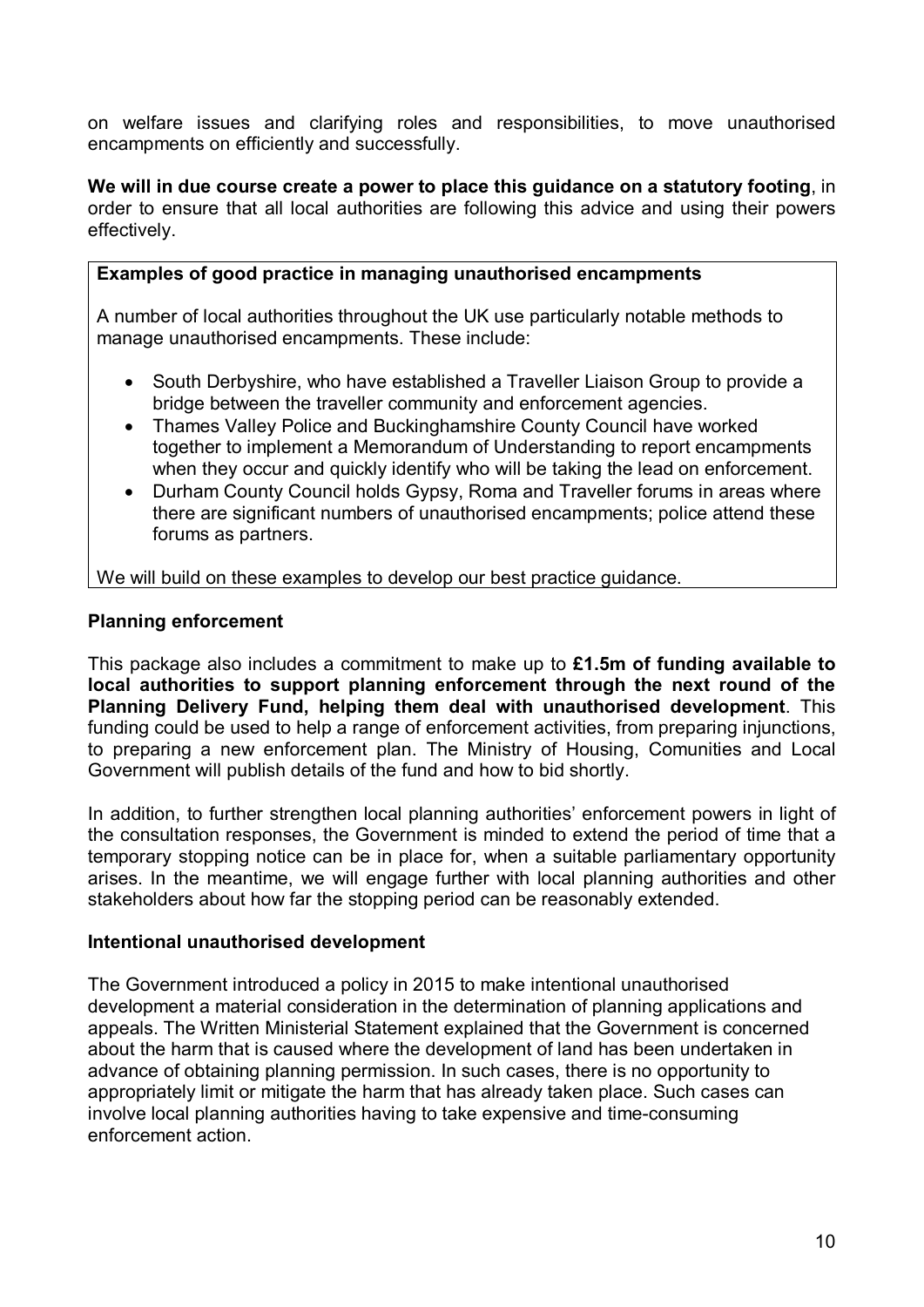on welfare issues and clarifying roles and responsibilities, to move unauthorised encampments on efficiently and successfully.

**We will in due course create a power to place this guidance on a statutory footing**, in order to ensure that all local authorities are following this advice and using their powers effectively.

#### **Examples of good practice in managing unauthorised encampments**

A number of local authorities throughout the UK use particularly notable methods to manage unauthorised encampments. These include:

- South Derbyshire, who have established a Traveller Liaison Group to provide a bridge between the traveller community and enforcement agencies.
- Thames Valley Police and Buckinghamshire County Council have worked together to implement a Memorandum of Understanding to report encampments when they occur and quickly identify who will be taking the lead on enforcement.
- Durham County Council holds Gypsy, Roma and Traveller forums in areas where there are significant numbers of unauthorised encampments; police attend these forums as partners.

We will build on these examples to develop our best practice guidance.

#### **Planning enforcement**

This package also includes a commitment to make up to **£1.5m of funding available to local authorities to support planning enforcement through the next round of the Planning Delivery Fund, helping them deal with unauthorised development**. This funding could be used to help a range of enforcement activities, from preparing injunctions, to preparing a new enforcement plan. The Ministry of Housing, Comunities and Local Government will publish details of the fund and how to bid shortly.

In addition, to further strengthen local planning authorities' enforcement powers in light of the consultation responses, the Government is minded to extend the period of time that a temporary stopping notice can be in place for, when a suitable parliamentary opportunity arises. In the meantime, we will engage further with local planning authorities and other stakeholders about how far the stopping period can be reasonably extended.

#### **Intentional unauthorised development**

The Government introduced a policy in 2015 to make intentional unauthorised development a material consideration in the determination of planning applications and appeals. The Written Ministerial Statement explained that the Government is concerned about the harm that is caused where the development of land has been undertaken in advance of obtaining planning permission. In such cases, there is no opportunity to appropriately limit or mitigate the harm that has already taken place. Such cases can involve local planning authorities having to take expensive and time-consuming enforcement action.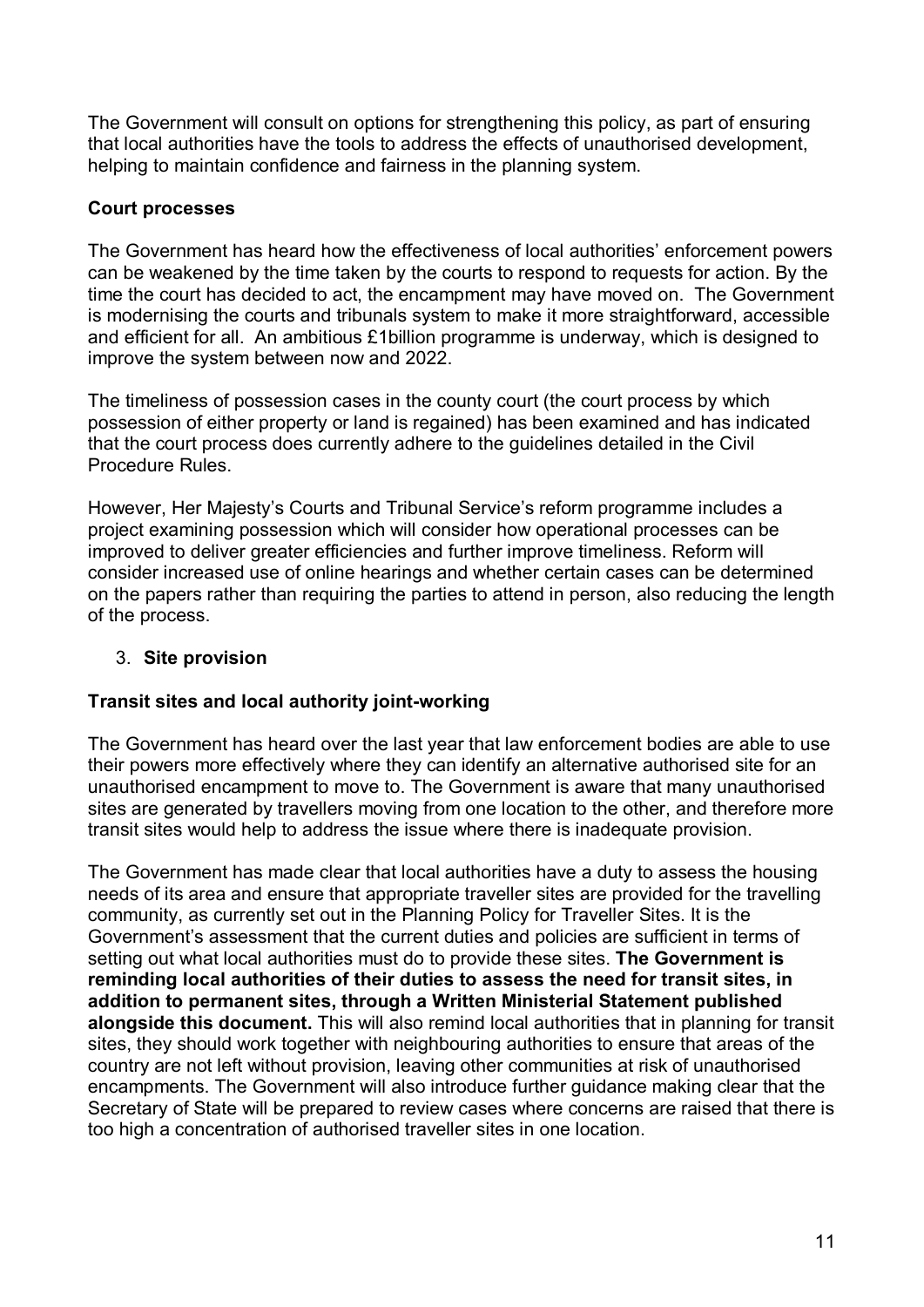The Government will consult on options for strengthening this policy, as part of ensuring that local authorities have the tools to address the effects of unauthorised development, helping to maintain confidence and fairness in the planning system.

## **Court processes**

The Government has heard how the effectiveness of local authorities' enforcement powers can be weakened by the time taken by the courts to respond to requests for action. By the time the court has decided to act, the encampment may have moved on. The Government is modernising the courts and tribunals system to make it more straightforward, accessible and efficient for all. An ambitious £1billion programme is underway, which is designed to improve the system between now and 2022.

The timeliness of possession cases in the county court (the court process by which possession of either property or land is regained) has been examined and has indicated that the court process does currently adhere to the guidelines detailed in the Civil Procedure Rules.

However, Her Majesty's Courts and Tribunal Service's reform programme includes a project examining possession which will consider how operational processes can be improved to deliver greater efficiencies and further improve timeliness. Reform will consider increased use of online hearings and whether certain cases can be determined on the papers rather than requiring the parties to attend in person, also reducing the length of the process.

## 3. **Site provision**

## **Transit sites and local authority joint-working**

The Government has heard over the last year that law enforcement bodies are able to use their powers more effectively where they can identify an alternative authorised site for an unauthorised encampment to move to. The Government is aware that many unauthorised sites are generated by travellers moving from one location to the other, and therefore more transit sites would help to address the issue where there is inadequate provision.

The Government has made clear that local authorities have a duty to assess the housing needs of its area and ensure that appropriate traveller sites are provided for the travelling community, as currently set out in the Planning Policy for Traveller Sites. It is the Government's assessment that the current duties and policies are sufficient in terms of setting out what local authorities must do to provide these sites. **The Government is reminding local authorities of their duties to assess the need for transit sites, in addition to permanent sites, through a Written Ministerial Statement published alongside this document.** This will also remind local authorities that in planning for transit sites, they should work together with neighbouring authorities to ensure that areas of the country are not left without provision, leaving other communities at risk of unauthorised encampments. The Government will also introduce further guidance making clear that the Secretary of State will be prepared to review cases where concerns are raised that there is too high a concentration of authorised traveller sites in one location.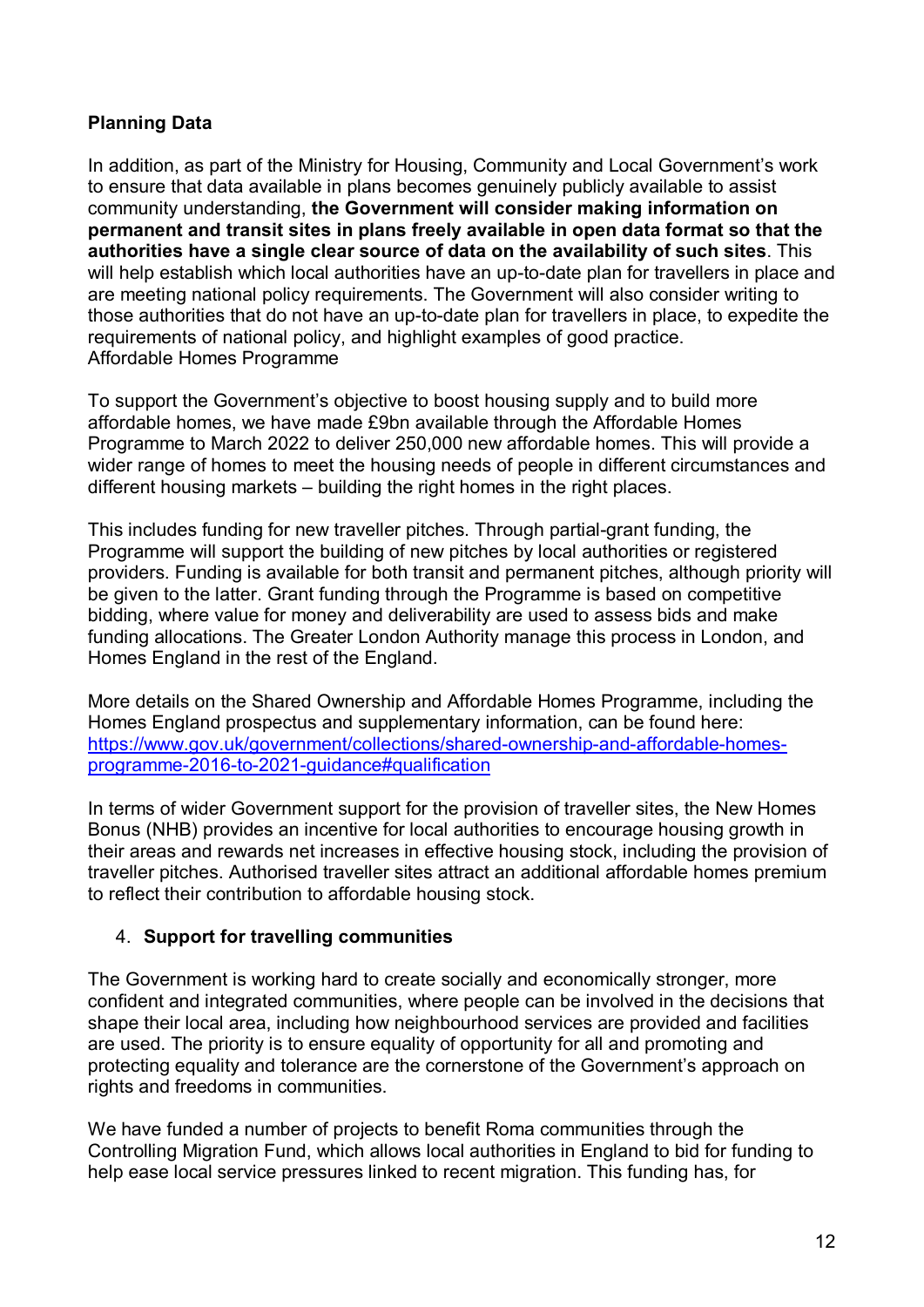## **Planning Data**

In addition, as part of the Ministry for Housing, Community and Local Government's work to ensure that data available in plans becomes genuinely publicly available to assist community understanding, **the Government will consider making information on permanent and transit sites in plans freely available in open data format so that the authorities have a single clear source of data on the availability of such sites**. This will help establish which local authorities have an up-to-date plan for travellers in place and are meeting national policy requirements. The Government will also consider writing to those authorities that do not have an up-to-date plan for travellers in place, to expedite the requirements of national policy, and highlight examples of good practice. Affordable Homes Programme

To support the Government's objective to boost housing supply and to build more affordable homes, we have made £9bn available through the Affordable Homes Programme to March 2022 to deliver 250,000 new affordable homes. This will provide a wider range of homes to meet the housing needs of people in different circumstances and different housing markets – building the right homes in the right places.

This includes funding for new traveller pitches. Through partial-grant funding, the Programme will support the building of new pitches by local authorities or registered providers. Funding is available for both transit and permanent pitches, although priority will be given to the latter. Grant funding through the Programme is based on competitive bidding, where value for money and deliverability are used to assess bids and make funding allocations. The Greater London Authority manage this process in London, and Homes England in the rest of the England.

More details on the Shared Ownership and Affordable Homes Programme, including the Homes England prospectus and supplementary information, can be found here: [https://www.gov.uk/government/collections/shared-ownership-and-affordable-homes](https://www.gov.uk/government/collections/shared-ownership-and-affordable-homes-programme-2016-to-2021-guidance#qualification)[programme-2016-to-2021-guidance#qualification](https://www.gov.uk/government/collections/shared-ownership-and-affordable-homes-programme-2016-to-2021-guidance#qualification)

In terms of wider Government support for the provision of traveller sites, the New Homes Bonus (NHB) provides an incentive for local authorities to encourage housing growth in their areas and rewards net increases in effective housing stock, including the provision of traveller pitches. Authorised traveller sites attract an additional affordable homes premium to reflect their contribution to affordable housing stock.

## 4. **Support for travelling communities**

The Government is working hard to create socially and economically stronger, more confident and integrated communities, where people can be involved in the decisions that shape their local area, including how neighbourhood services are provided and facilities are used. The priority is to ensure equality of opportunity for all and promoting and protecting equality and tolerance are the cornerstone of the Government's approach on rights and freedoms in communities.

We have funded a number of projects to benefit Roma communities through the Controlling Migration Fund, which allows local authorities in England to bid for funding to help ease local service pressures linked to recent migration. This funding has, for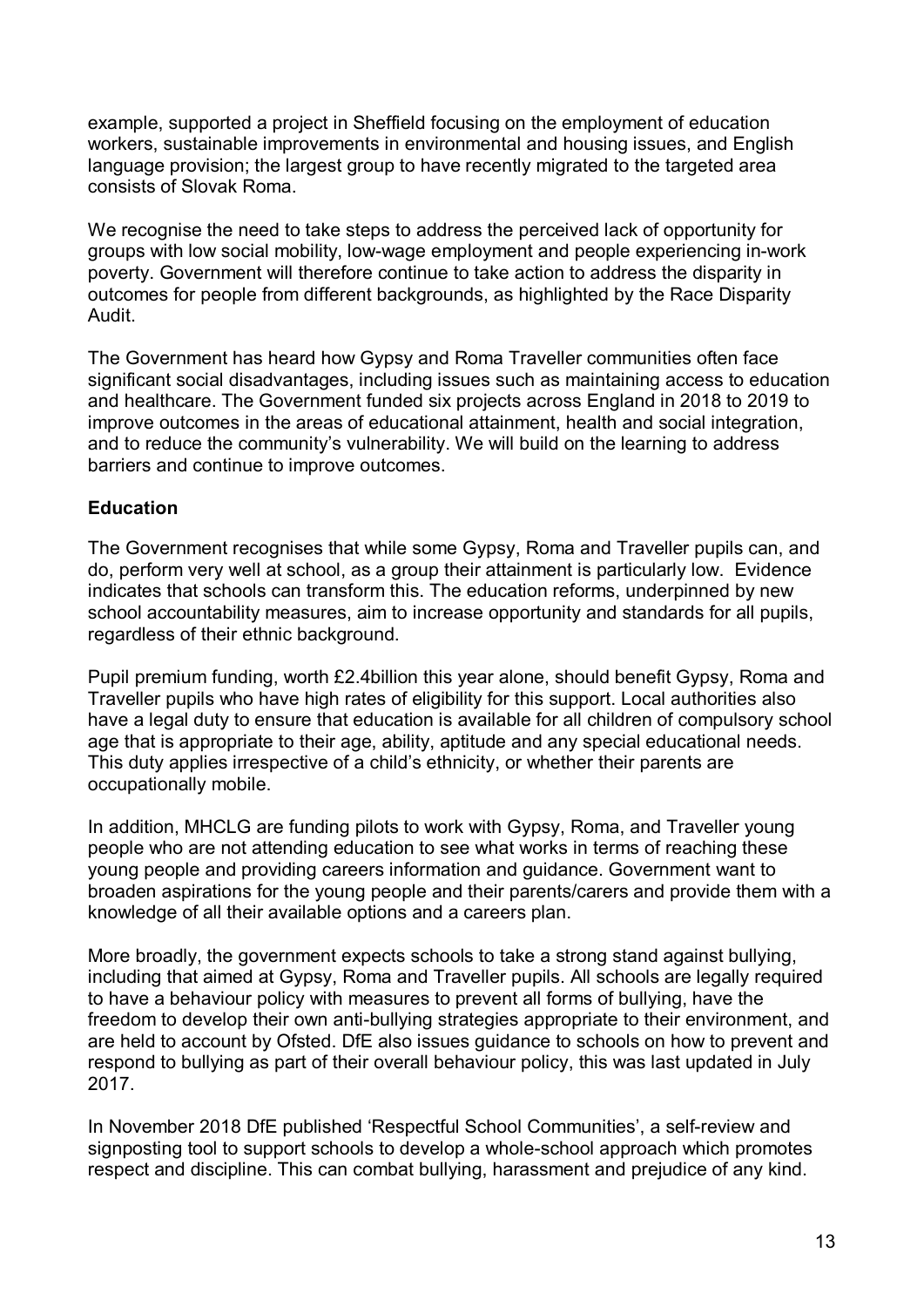example, supported a project in Sheffield focusing on the employment of education workers, sustainable improvements in environmental and housing issues, and English language provision; the largest group to have recently migrated to the targeted area consists of Slovak Roma.

We recognise the need to take steps to address the perceived lack of opportunity for groups with low social mobility, low-wage employment and people experiencing in-work poverty. Government will therefore continue to take action to address the disparity in outcomes for people from different backgrounds, as highlighted by the Race Disparity Audit.

The Government has heard how Gypsy and Roma Traveller communities often face significant social disadvantages, including issues such as maintaining access to education and healthcare. The Government funded six projects across England in 2018 to 2019 to improve outcomes in the areas of educational attainment, health and social integration, and to reduce the community's vulnerability. We will build on the learning to address barriers and continue to improve outcomes.

### **Education**

The Government recognises that while some Gypsy, Roma and Traveller pupils can, and do, perform very well at school, as a group their attainment is particularly low. Evidence indicates that schools can transform this. The education reforms, underpinned by new school accountability measures, aim to increase opportunity and standards for all pupils, regardless of their ethnic background.

Pupil premium funding, worth £2.4billion this year alone, should benefit Gypsy, Roma and Traveller pupils who have high rates of eligibility for this support. Local authorities also have a legal duty to ensure that education is available for all children of compulsory school age that is appropriate to their age, ability, aptitude and any special educational needs. This duty applies irrespective of a child's ethnicity, or whether their parents are occupationally mobile.

In addition, MHCLG are funding pilots to work with Gypsy, Roma, and Traveller young people who are not attending education to see what works in terms of reaching these young people and providing careers information and guidance. Government want to broaden aspirations for the young people and their parents/carers and provide them with a knowledge of all their available options and a careers plan.

More broadly, the government expects schools to take a strong stand against bullying, including that aimed at Gypsy, Roma and Traveller pupils. All schools are legally required to have a behaviour policy with measures to prevent all forms of bullying, have the freedom to develop their own anti-bullying strategies appropriate to their environment, and are held to account by Ofsted. DfE also issues guidance to schools on how to prevent and respond to bullying as part of their overall behaviour policy, this was last updated in July 2017.

In November 2018 DfE published 'Respectful School Communities', a self-review and signposting tool to support schools to develop a whole-school approach which promotes respect and discipline. This can combat bullying, harassment and prejudice of any kind.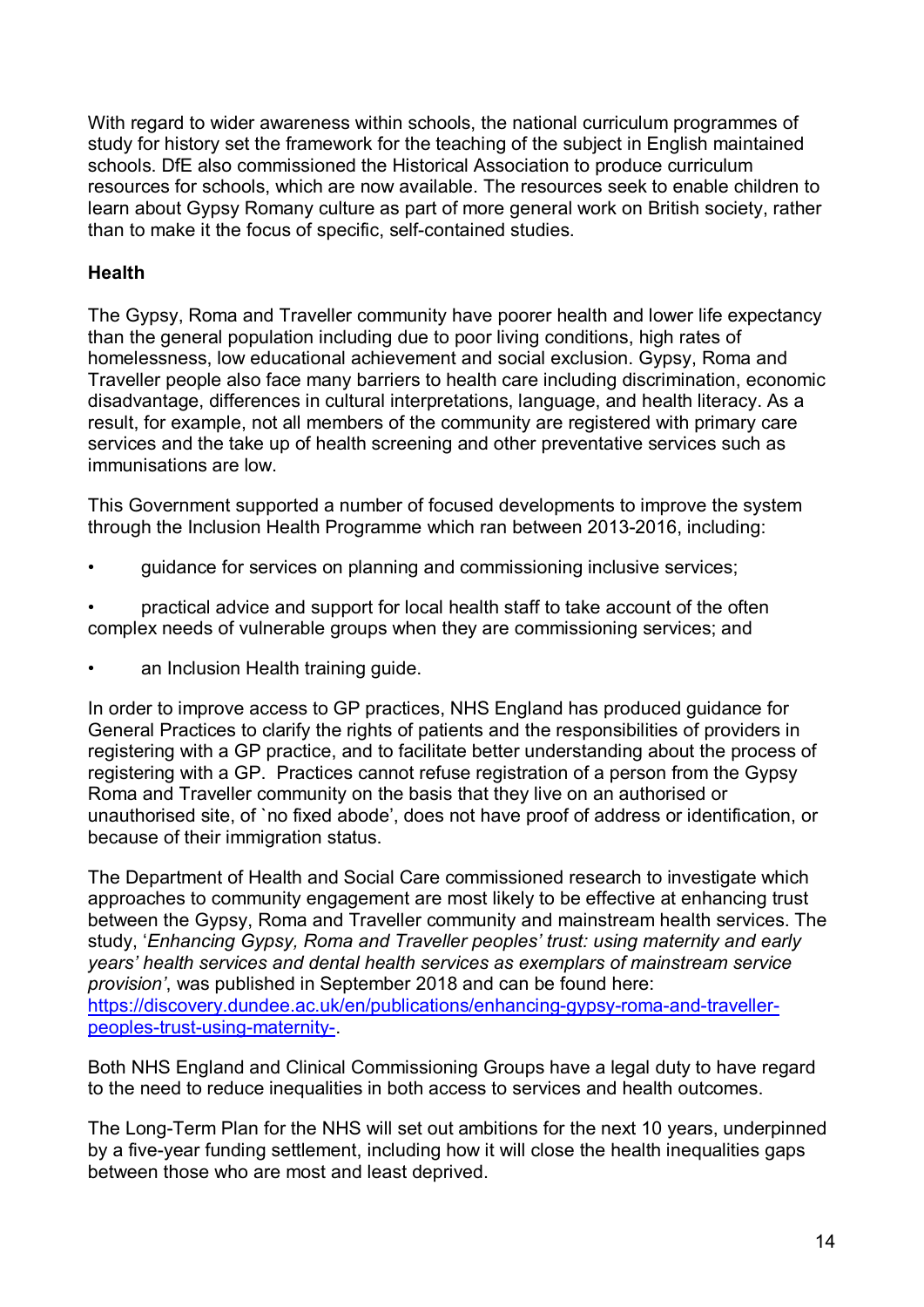With regard to wider awareness within schools, the national curriculum programmes of study for history set the framework for the teaching of the subject in English maintained schools. DfE also commissioned the Historical Association to produce curriculum resources for schools, which are now available. The resources seek to enable children to learn about Gypsy Romany culture as part of more general work on British society, rather than to make it the focus of specific, self-contained studies.

## **Health**

The Gypsy, Roma and Traveller community have poorer health and lower life expectancy than the general population including due to poor living conditions, high rates of homelessness, low educational achievement and social exclusion. Gypsy, Roma and Traveller people also face many barriers to health care including discrimination, economic disadvantage, differences in cultural interpretations, language, and health literacy. As a result, for example, not all members of the community are registered with primary care services and the take up of health screening and other preventative services such as immunisations are low.

This Government supported a number of focused developments to improve the system through the Inclusion Health Programme which ran between 2013-2016, including:

• guidance for services on planning and commissioning inclusive services;

• practical advice and support for local health staff to take account of the often complex needs of vulnerable groups when they are commissioning services; and

an Inclusion Health training guide.

In order to improve access to GP practices, NHS England has produced guidance for General Practices to clarify the rights of patients and the responsibilities of providers in registering with a GP practice, and to facilitate better understanding about the process of registering with a GP. Practices cannot refuse registration of a person from the Gypsy Roma and Traveller community on the basis that they live on an authorised or unauthorised site, of `no fixed abode', does not have proof of address or identification, or because of their immigration status.

The Department of Health and Social Care commissioned research to investigate which approaches to community engagement are most likely to be effective at enhancing trust between the Gypsy, Roma and Traveller community and mainstream health services. The study, '*Enhancing Gypsy, Roma and Traveller peoples' trust: using maternity and early years' health services and dental health services as exemplars of mainstream service provision'*, was published in September 2018 and can be found here: [https://discovery.dundee.ac.uk/en/publications/enhancing-gypsy-roma-and-traveller](https://discovery.dundee.ac.uk/en/publications/enhancing-gypsy-roma-and-traveller-peoples-trust-using-maternity-)[peoples-trust-using-maternity-.](https://discovery.dundee.ac.uk/en/publications/enhancing-gypsy-roma-and-traveller-peoples-trust-using-maternity-)

Both NHS England and Clinical Commissioning Groups have a legal duty to have regard to the need to reduce inequalities in both access to services and health outcomes.

The Long-Term Plan for the NHS will set out ambitions for the next 10 years, underpinned by a five-year funding settlement, including how it will close the health inequalities gaps between those who are most and least deprived.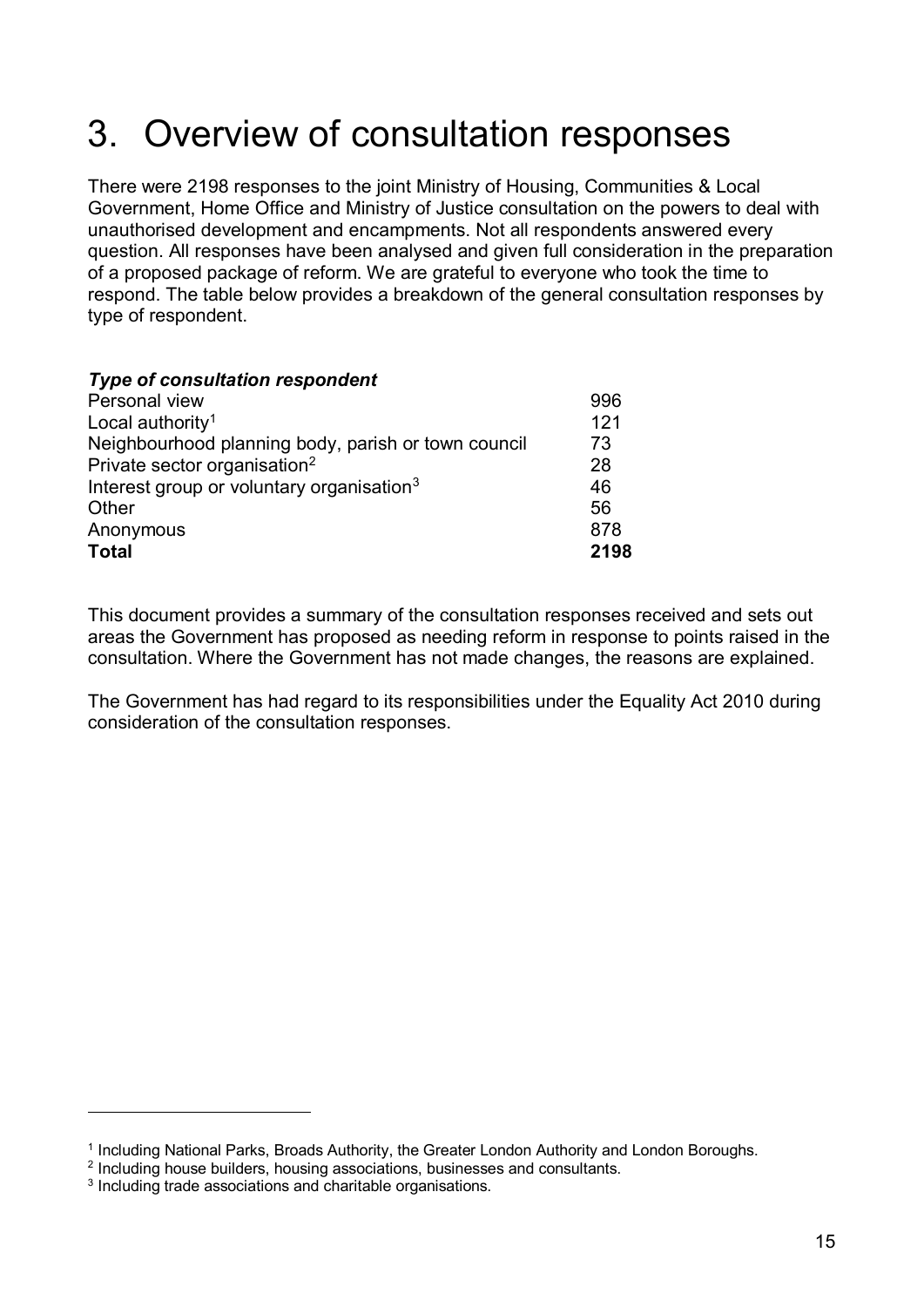# 3. Overview of consultation responses

There were 2198 responses to the joint Ministry of Housing, Communities & Local Government, Home Office and Ministry of Justice consultation on the powers to deal with unauthorised development and encampments. Not all respondents answered every question. All responses have been analysed and given full consideration in the preparation of a proposed package of reform. We are grateful to everyone who took the time to respond. The table below provides a breakdown of the general consultation responses by type of respondent.

#### *Type of consultation respondent*

| Personal view                                         |      |
|-------------------------------------------------------|------|
| Local authority <sup>1</sup>                          | 121  |
| Neighbourhood planning body, parish or town council   | 73   |
| Private sector organisation <sup>2</sup>              | 28   |
| Interest group or voluntary organisation <sup>3</sup> | 46   |
| Other                                                 | 56   |
| Anonymous                                             | 878  |
| <b>Total</b>                                          | 2198 |

This document provides a summary of the consultation responses received and sets out areas the Government has proposed as needing reform in response to points raised in the consultation. Where the Government has not made changes, the reasons are explained.

The Government has had regard to its responsibilities under the Equality Act 2010 during consideration of the consultation responses.

<u>.</u>

<span id="page-14-0"></span><sup>&</sup>lt;sup>1</sup> Including National Parks, Broads Authority, the Greater London Authority and London Boroughs.

<span id="page-14-1"></span><sup>2</sup> Including house builders, housing associations, businesses and consultants.

<span id="page-14-2"></span><sup>3</sup> Including trade associations and charitable organisations.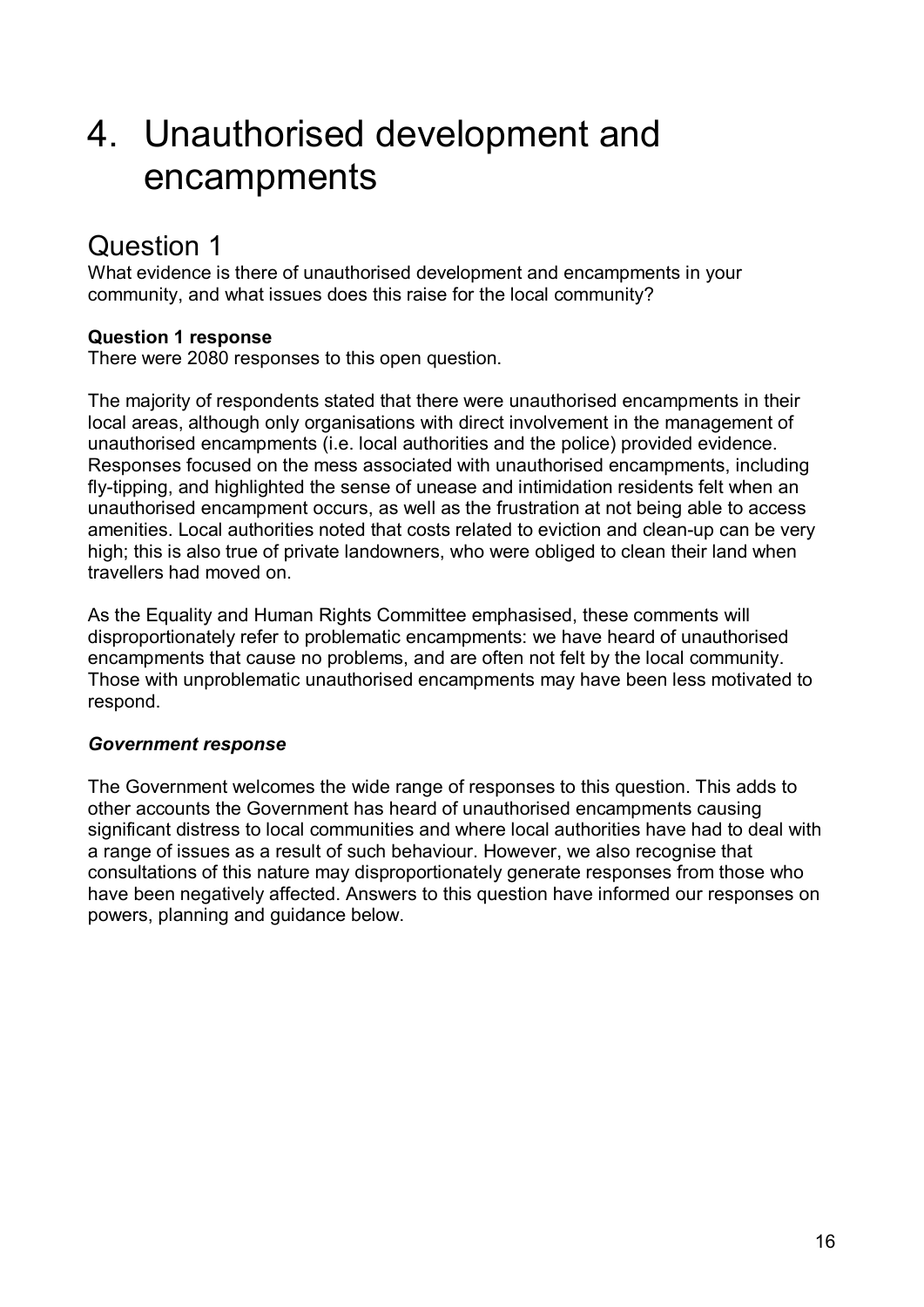# 4. Unauthorised development and encampments

# Question 1

What evidence is there of unauthorised development and encampments in your community, and what issues does this raise for the local community?

## **Question 1 response**

There were 2080 responses to this open question.

The majority of respondents stated that there were unauthorised encampments in their local areas, although only organisations with direct involvement in the management of unauthorised encampments (i.e. local authorities and the police) provided evidence. Responses focused on the mess associated with unauthorised encampments, including fly-tipping, and highlighted the sense of unease and intimidation residents felt when an unauthorised encampment occurs, as well as the frustration at not being able to access amenities. Local authorities noted that costs related to eviction and clean-up can be very high; this is also true of private landowners, who were obliged to clean their land when travellers had moved on.

As the Equality and Human Rights Committee emphasised, these comments will disproportionately refer to problematic encampments: we have heard of unauthorised encampments that cause no problems, and are often not felt by the local community. Those with unproblematic unauthorised encampments may have been less motivated to respond.

## *Government response*

The Government welcomes the wide range of responses to this question. This adds to other accounts the Government has heard of unauthorised encampments causing significant distress to local communities and where local authorities have had to deal with a range of issues as a result of such behaviour. However, we also recognise that consultations of this nature may disproportionately generate responses from those who have been negatively affected. Answers to this question have informed our responses on powers, planning and guidance below.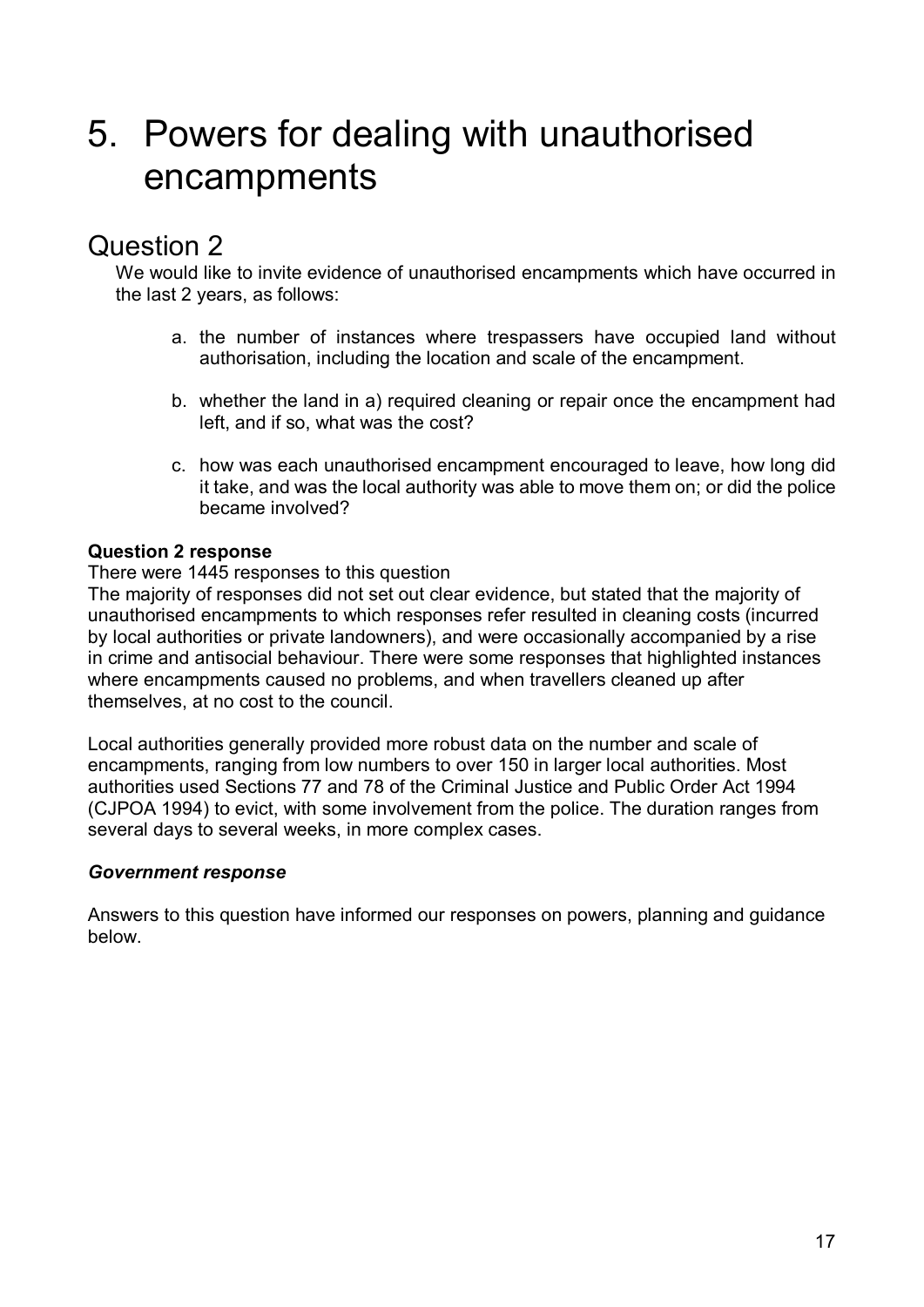# 5. Powers for dealing with unauthorised encampments

# Question 2

We would like to invite evidence of unauthorised encampments which have occurred in the last 2 years, as follows:

- a. the number of instances where trespassers have occupied land without authorisation, including the location and scale of the encampment.
- b. whether the land in a) required cleaning or repair once the encampment had left, and if so, what was the cost?
- c. how was each unauthorised encampment encouraged to leave, how long did it take, and was the local authority was able to move them on; or did the police became involved?

## **Question 2 response**

#### There were 1445 responses to this question

The majority of responses did not set out clear evidence, but stated that the majority of unauthorised encampments to which responses refer resulted in cleaning costs (incurred by local authorities or private landowners), and were occasionally accompanied by a rise in crime and antisocial behaviour. There were some responses that highlighted instances where encampments caused no problems, and when travellers cleaned up after themselves, at no cost to the council.

Local authorities generally provided more robust data on the number and scale of encampments, ranging from low numbers to over 150 in larger local authorities. Most authorities used Sections 77 and 78 of the Criminal Justice and Public Order Act 1994 (CJPOA 1994) to evict, with some involvement from the police. The duration ranges from several days to several weeks, in more complex cases.

### *Government response*

Answers to this question have informed our responses on powers, planning and guidance below.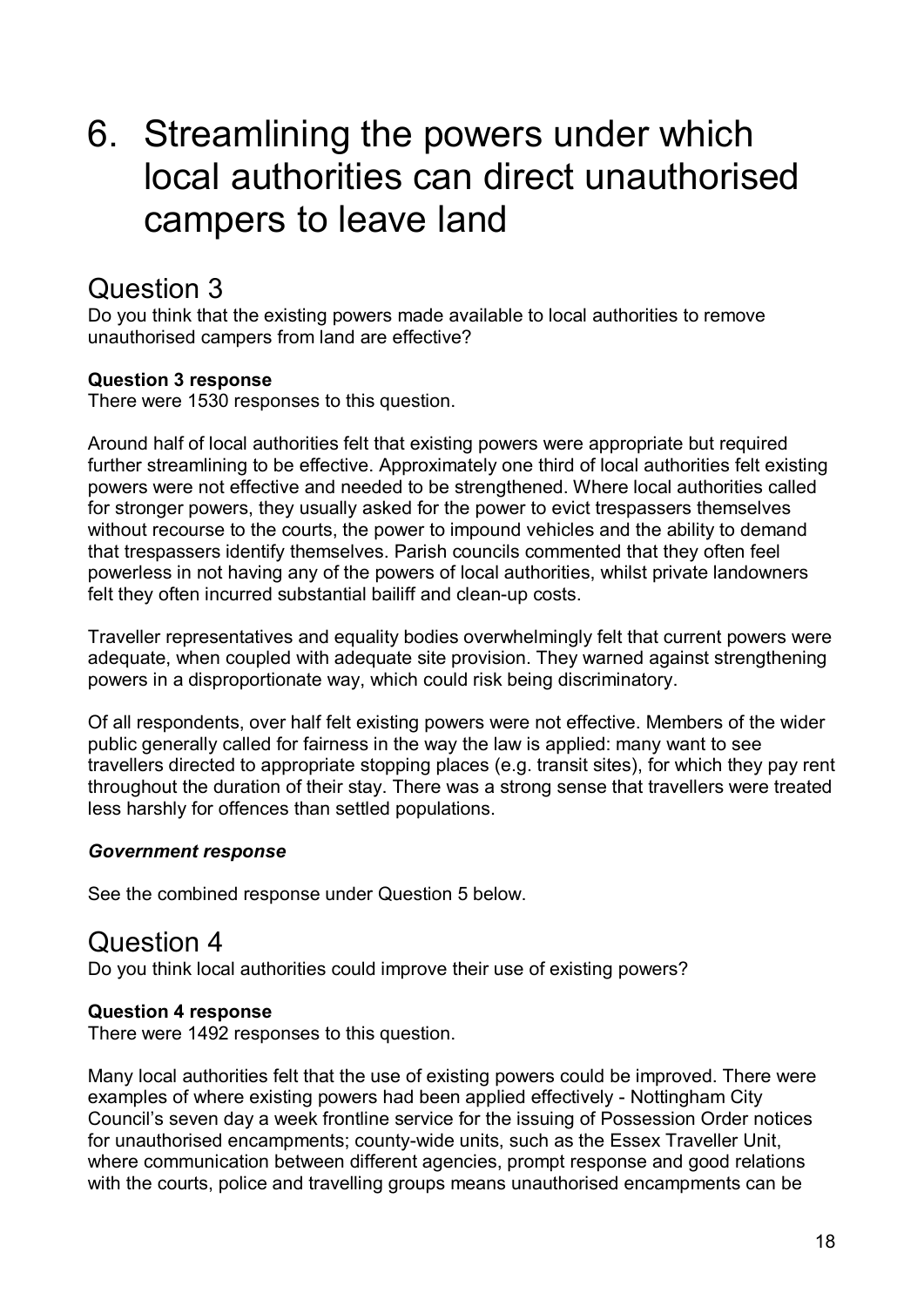# 6. Streamlining the powers under which local authorities can direct unauthorised campers to leave land

# Question 3

Do you think that the existing powers made available to local authorities to remove unauthorised campers from land are effective?

## **Question 3 response**

There were 1530 responses to this question.

Around half of local authorities felt that existing powers were appropriate but required further streamlining to be effective. Approximately one third of local authorities felt existing powers were not effective and needed to be strengthened. Where local authorities called for stronger powers, they usually asked for the power to evict trespassers themselves without recourse to the courts, the power to impound vehicles and the ability to demand that trespassers identify themselves. Parish councils commented that they often feel powerless in not having any of the powers of local authorities, whilst private landowners felt they often incurred substantial bailiff and clean-up costs.

Traveller representatives and equality bodies overwhelmingly felt that current powers were adequate, when coupled with adequate site provision. They warned against strengthening powers in a disproportionate way, which could risk being discriminatory.

Of all respondents, over half felt existing powers were not effective. Members of the wider public generally called for fairness in the way the law is applied: many want to see travellers directed to appropriate stopping places (e.g. transit sites), for which they pay rent throughout the duration of their stay. There was a strong sense that travellers were treated less harshly for offences than settled populations.

### *Government response*

See the combined response under Question 5 below.

## Question 4

Do you think local authorities could improve their use of existing powers?

### **Question 4 response**

There were 1492 responses to this question.

Many local authorities felt that the use of existing powers could be improved. There were examples of where existing powers had been applied effectively - Nottingham City Council's seven day a week frontline service for the issuing of Possession Order notices for unauthorised encampments; county-wide units, such as the Essex Traveller Unit, where communication between different agencies, prompt response and good relations with the courts, police and travelling groups means unauthorised encampments can be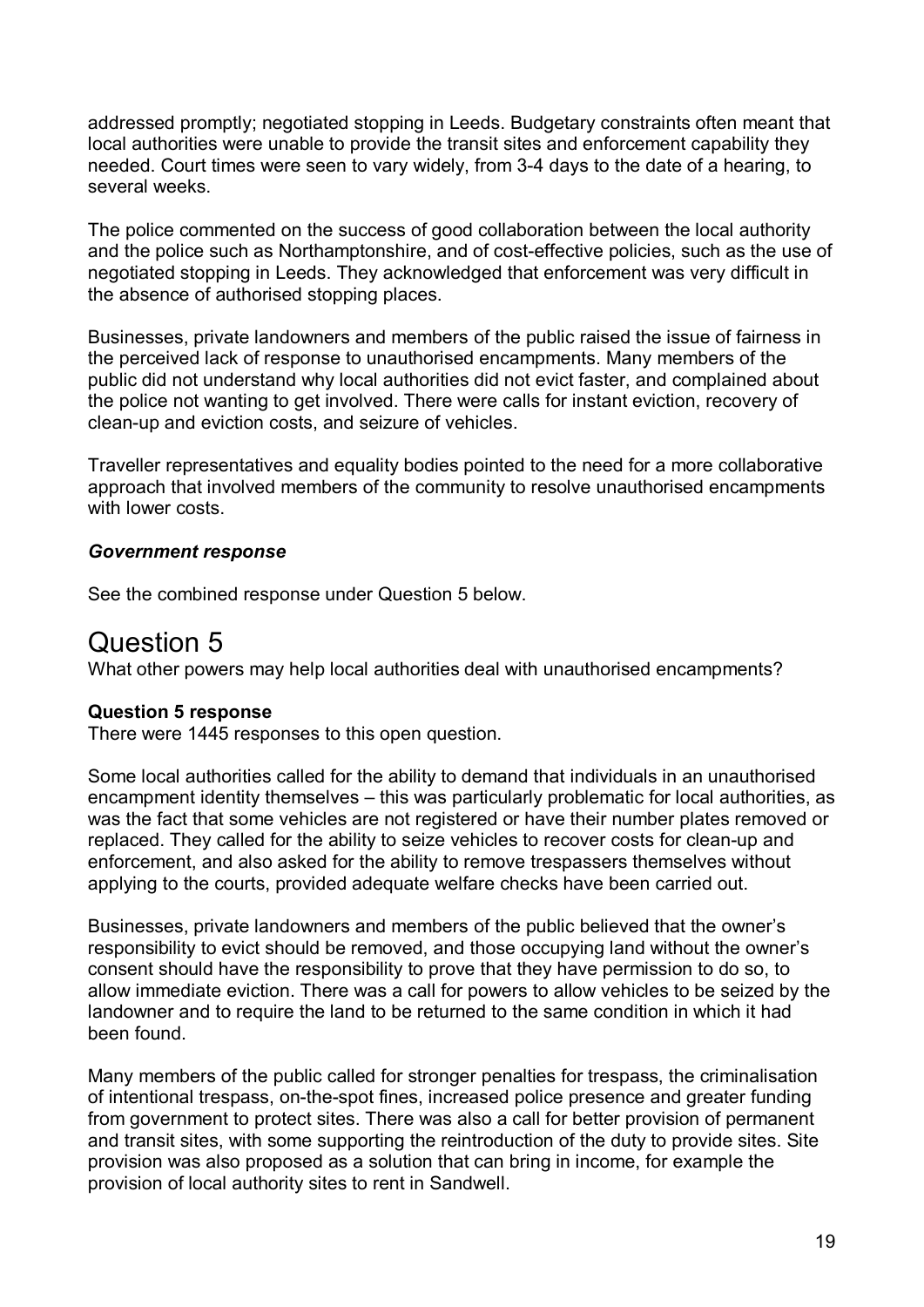addressed promptly; negotiated stopping in Leeds. Budgetary constraints often meant that local authorities were unable to provide the transit sites and enforcement capability they needed. Court times were seen to vary widely, from 3-4 days to the date of a hearing, to several weeks.

The police commented on the success of good collaboration between the local authority and the police such as Northamptonshire, and of cost-effective policies, such as the use of negotiated stopping in Leeds. They acknowledged that enforcement was very difficult in the absence of authorised stopping places.

Businesses, private landowners and members of the public raised the issue of fairness in the perceived lack of response to unauthorised encampments. Many members of the public did not understand why local authorities did not evict faster, and complained about the police not wanting to get involved. There were calls for instant eviction, recovery of clean-up and eviction costs, and seizure of vehicles.

Traveller representatives and equality bodies pointed to the need for a more collaborative approach that involved members of the community to resolve unauthorised encampments with lower costs.

#### *Government response*

See the combined response under Question 5 below.

## Question 5

What other powers may help local authorities deal with unauthorised encampments?

#### **Question 5 response**

There were 1445 responses to this open question.

Some local authorities called for the ability to demand that individuals in an unauthorised encampment identity themselves – this was particularly problematic for local authorities, as was the fact that some vehicles are not registered or have their number plates removed or replaced. They called for the ability to seize vehicles to recover costs for clean-up and enforcement, and also asked for the ability to remove trespassers themselves without applying to the courts, provided adequate welfare checks have been carried out.

Businesses, private landowners and members of the public believed that the owner's responsibility to evict should be removed, and those occupying land without the owner's consent should have the responsibility to prove that they have permission to do so, to allow immediate eviction. There was a call for powers to allow vehicles to be seized by the landowner and to require the land to be returned to the same condition in which it had been found.

Many members of the public called for stronger penalties for trespass, the criminalisation of intentional trespass, on-the-spot fines, increased police presence and greater funding from government to protect sites. There was also a call for better provision of permanent and transit sites, with some supporting the reintroduction of the duty to provide sites. Site provision was also proposed as a solution that can bring in income, for example the provision of local authority sites to rent in Sandwell.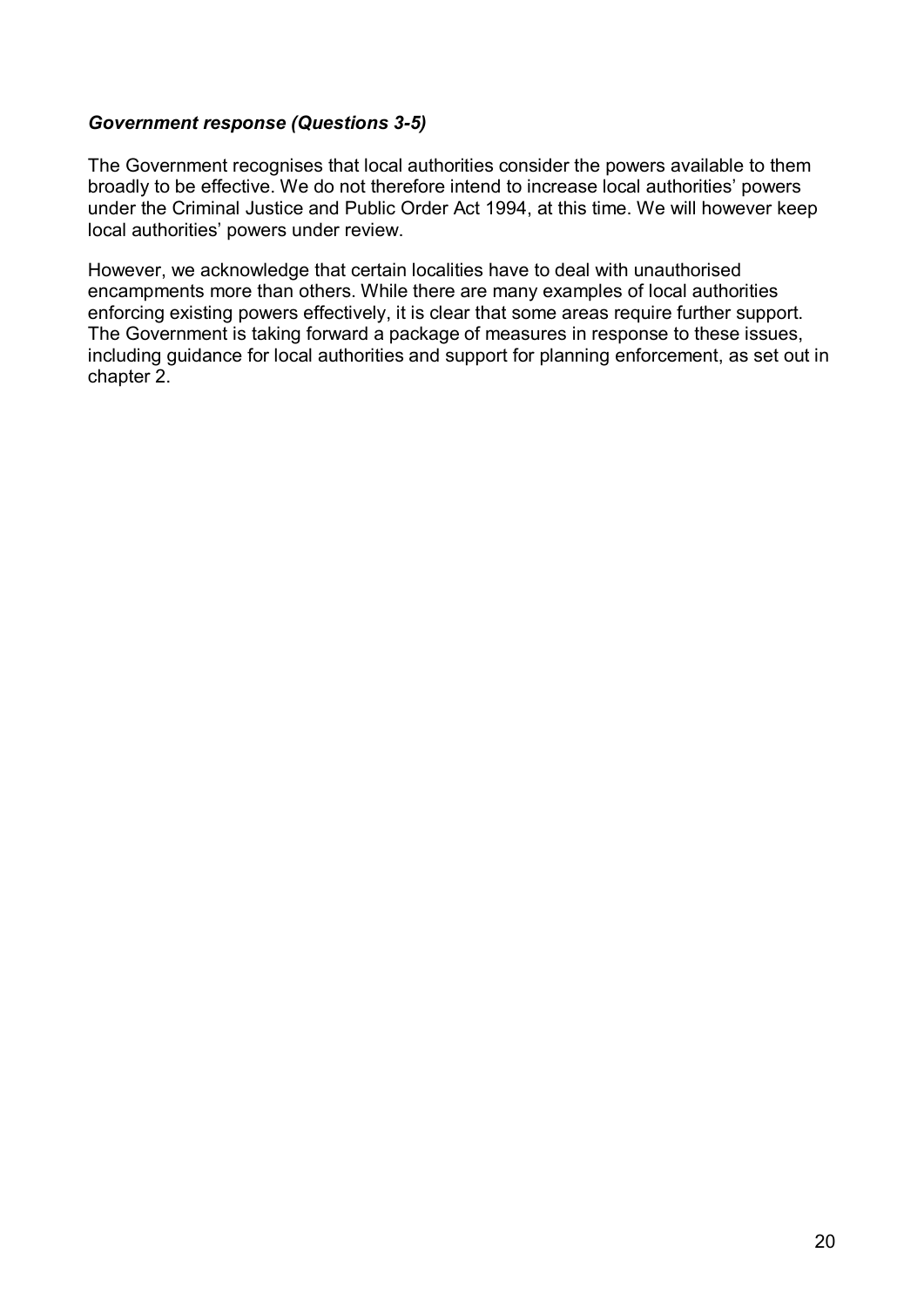#### *Government response (Questions 3-5)*

The Government recognises that local authorities consider the powers available to them broadly to be effective. We do not therefore intend to increase local authorities' powers under the Criminal Justice and Public Order Act 1994, at this time. We will however keep local authorities' powers under review.

However, we acknowledge that certain localities have to deal with unauthorised encampments more than others. While there are many examples of local authorities enforcing existing powers effectively, it is clear that some areas require further support. The Government is taking forward a package of measures in response to these issues, including guidance for local authorities and support for planning enforcement, as set out in chapter 2.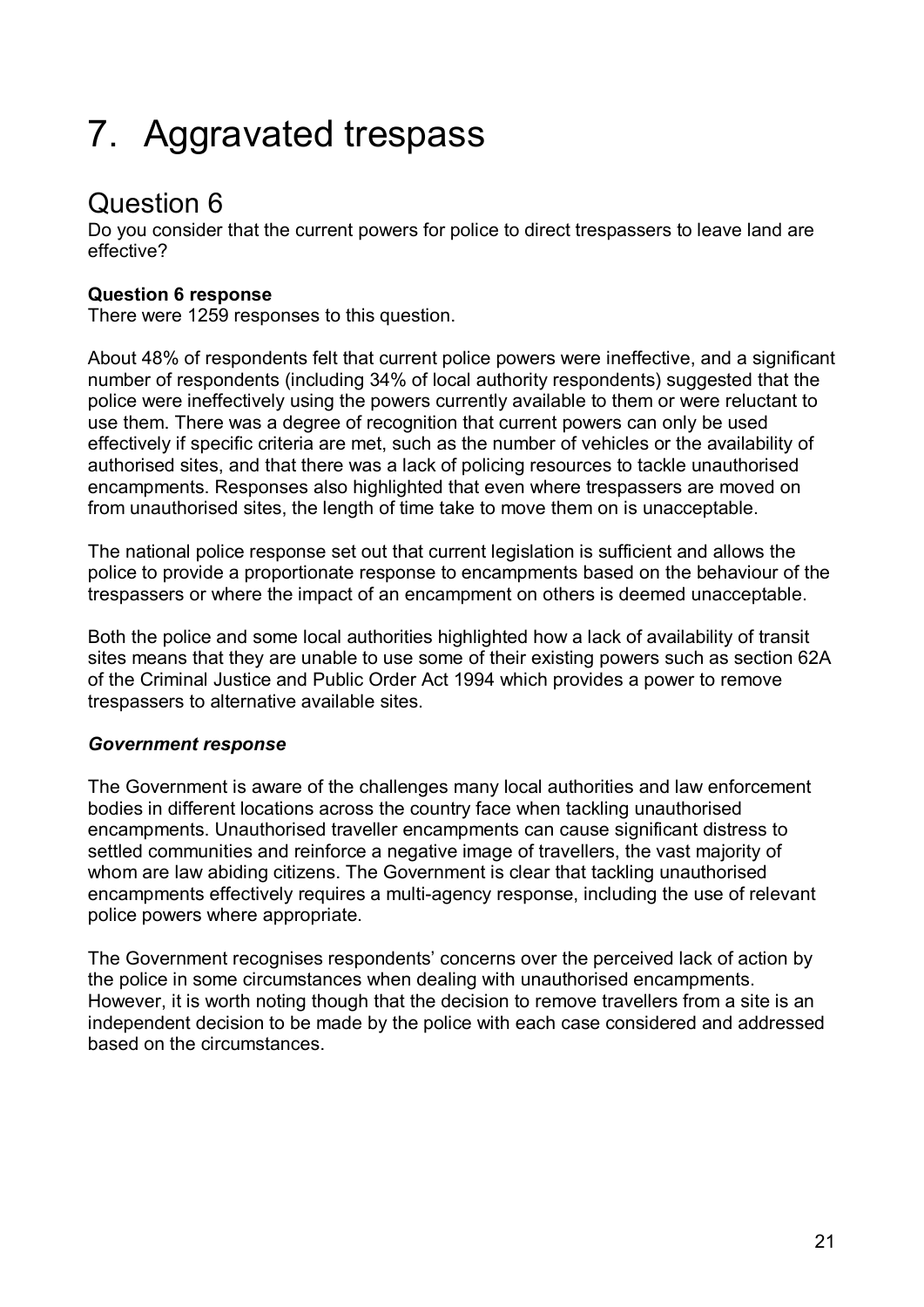# 7. Aggravated trespass

# Question 6

Do you consider that the current powers for police to direct trespassers to leave land are effective?

## **Question 6 response**

There were 1259 responses to this question.

About 48% of respondents felt that current police powers were ineffective, and a significant number of respondents (including 34% of local authority respondents) suggested that the police were ineffectively using the powers currently available to them or were reluctant to use them. There was a degree of recognition that current powers can only be used effectively if specific criteria are met, such as the number of vehicles or the availability of authorised sites, and that there was a lack of policing resources to tackle unauthorised encampments. Responses also highlighted that even where trespassers are moved on from unauthorised sites, the length of time take to move them on is unacceptable.

The national police response set out that current legislation is sufficient and allows the police to provide a proportionate response to encampments based on the behaviour of the trespassers or where the impact of an encampment on others is deemed unacceptable.

Both the police and some local authorities highlighted how a lack of availability of transit sites means that they are unable to use some of their existing powers such as section 62A of the Criminal Justice and Public Order Act 1994 which provides a power to remove trespassers to alternative available sites.

## *Government response*

The Government is aware of the challenges many local authorities and law enforcement bodies in different locations across the country face when tackling unauthorised encampments. Unauthorised traveller encampments can cause significant distress to settled communities and reinforce a negative image of travellers, the vast majority of whom are law abiding citizens. The Government is clear that tackling unauthorised encampments effectively requires a multi-agency response, including the use of relevant police powers where appropriate.

The Government recognises respondents' concerns over the perceived lack of action by the police in some circumstances when dealing with unauthorised encampments. However, it is worth noting though that the decision to remove travellers from a site is an independent decision to be made by the police with each case considered and addressed based on the circumstances.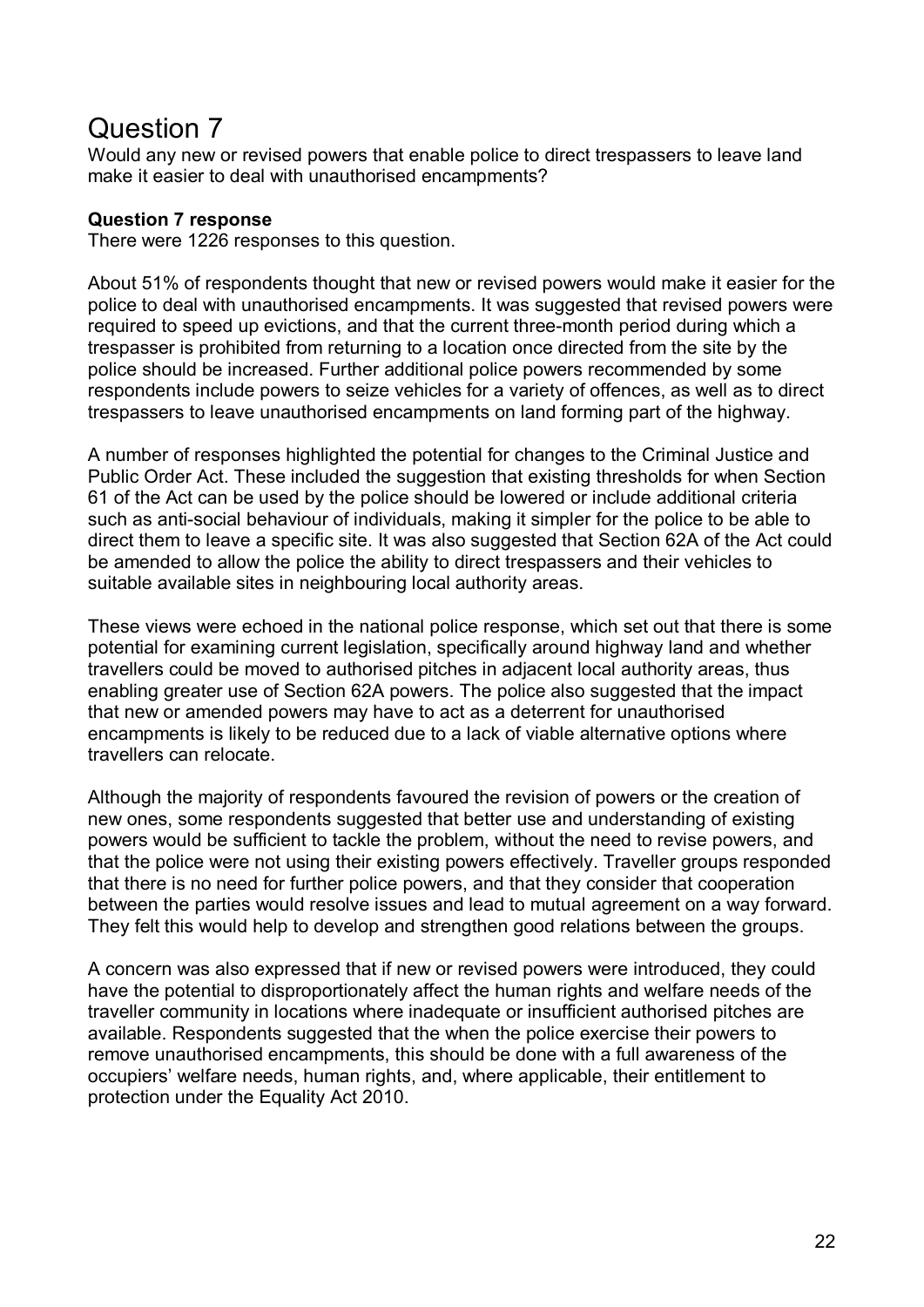# Question 7

Would any new or revised powers that enable police to direct trespassers to leave land make it easier to deal with unauthorised encampments?

#### **Question 7 response**

There were 1226 responses to this question.

About 51% of respondents thought that new or revised powers would make it easier for the police to deal with unauthorised encampments. It was suggested that revised powers were required to speed up evictions, and that the current three-month period during which a trespasser is prohibited from returning to a location once directed from the site by the police should be increased. Further additional police powers recommended by some respondents include powers to seize vehicles for a variety of offences, as well as to direct trespassers to leave unauthorised encampments on land forming part of the highway.

A number of responses highlighted the potential for changes to the Criminal Justice and Public Order Act. These included the suggestion that existing thresholds for when Section 61 of the Act can be used by the police should be lowered or include additional criteria such as anti-social behaviour of individuals, making it simpler for the police to be able to direct them to leave a specific site. It was also suggested that Section 62A of the Act could be amended to allow the police the ability to direct trespassers and their vehicles to suitable available sites in neighbouring local authority areas.

These views were echoed in the national police response, which set out that there is some potential for examining current legislation, specifically around highway land and whether travellers could be moved to authorised pitches in adjacent local authority areas, thus enabling greater use of Section 62A powers. The police also suggested that the impact that new or amended powers may have to act as a deterrent for unauthorised encampments is likely to be reduced due to a lack of viable alternative options where travellers can relocate.

Although the majority of respondents favoured the revision of powers or the creation of new ones, some respondents suggested that better use and understanding of existing powers would be sufficient to tackle the problem, without the need to revise powers, and that the police were not using their existing powers effectively. Traveller groups responded that there is no need for further police powers, and that they consider that cooperation between the parties would resolve issues and lead to mutual agreement on a way forward. They felt this would help to develop and strengthen good relations between the groups.

A concern was also expressed that if new or revised powers were introduced, they could have the potential to disproportionately affect the human rights and welfare needs of the traveller community in locations where inadequate or insufficient authorised pitches are available. Respondents suggested that the when the police exercise their powers to remove unauthorised encampments, this should be done with a full awareness of the occupiers' welfare needs, human rights, and, where applicable, their entitlement to protection under the Equality Act 2010.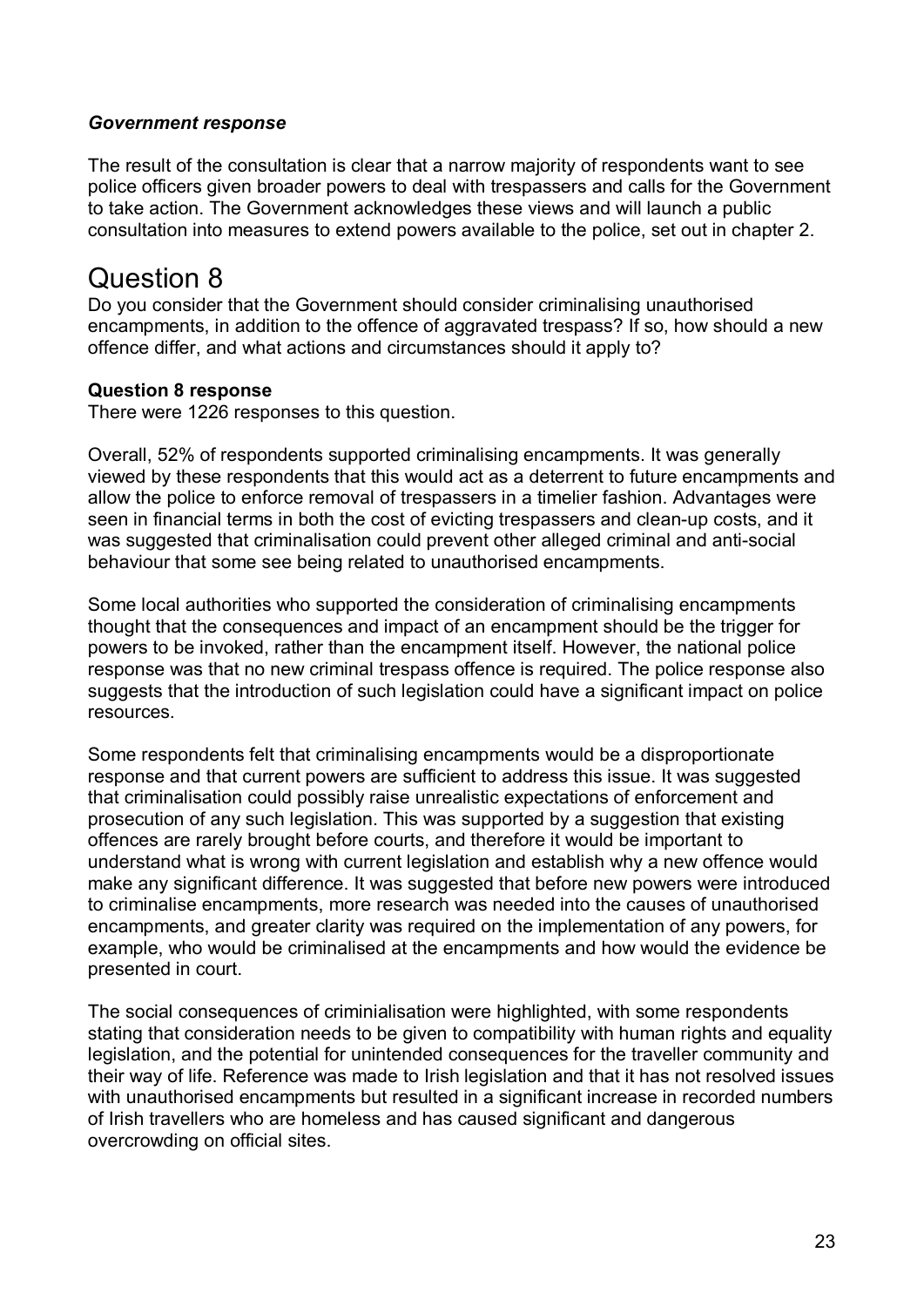#### *Government response*

The result of the consultation is clear that a narrow majority of respondents want to see police officers given broader powers to deal with trespassers and calls for the Government to take action. The Government acknowledges these views and will launch a public consultation into measures to extend powers available to the police, set out in chapter 2.

# Question 8

Do you consider that the Government should consider criminalising unauthorised encampments, in addition to the offence of aggravated trespass? If so, how should a new offence differ, and what actions and circumstances should it apply to?

#### **Question 8 response**

There were 1226 responses to this question.

Overall, 52% of respondents supported criminalising encampments. It was generally viewed by these respondents that this would act as a deterrent to future encampments and allow the police to enforce removal of trespassers in a timelier fashion. Advantages were seen in financial terms in both the cost of evicting trespassers and clean-up costs, and it was suggested that criminalisation could prevent other alleged criminal and anti-social behaviour that some see being related to unauthorised encampments.

Some local authorities who supported the consideration of criminalising encampments thought that the consequences and impact of an encampment should be the trigger for powers to be invoked, rather than the encampment itself. However, the national police response was that no new criminal trespass offence is required. The police response also suggests that the introduction of such legislation could have a significant impact on police resources.

Some respondents felt that criminalising encampments would be a disproportionate response and that current powers are sufficient to address this issue. It was suggested that criminalisation could possibly raise unrealistic expectations of enforcement and prosecution of any such legislation. This was supported by a suggestion that existing offences are rarely brought before courts, and therefore it would be important to understand what is wrong with current legislation and establish why a new offence would make any significant difference. It was suggested that before new powers were introduced to criminalise encampments, more research was needed into the causes of unauthorised encampments, and greater clarity was required on the implementation of any powers, for example, who would be criminalised at the encampments and how would the evidence be presented in court.

The social consequences of criminialisation were highlighted, with some respondents stating that consideration needs to be given to compatibility with human rights and equality legislation, and the potential for unintended consequences for the traveller community and their way of life. Reference was made to Irish legislation and that it has not resolved issues with unauthorised encampments but resulted in a significant increase in recorded numbers of Irish travellers who are homeless and has caused significant and dangerous overcrowding on official sites.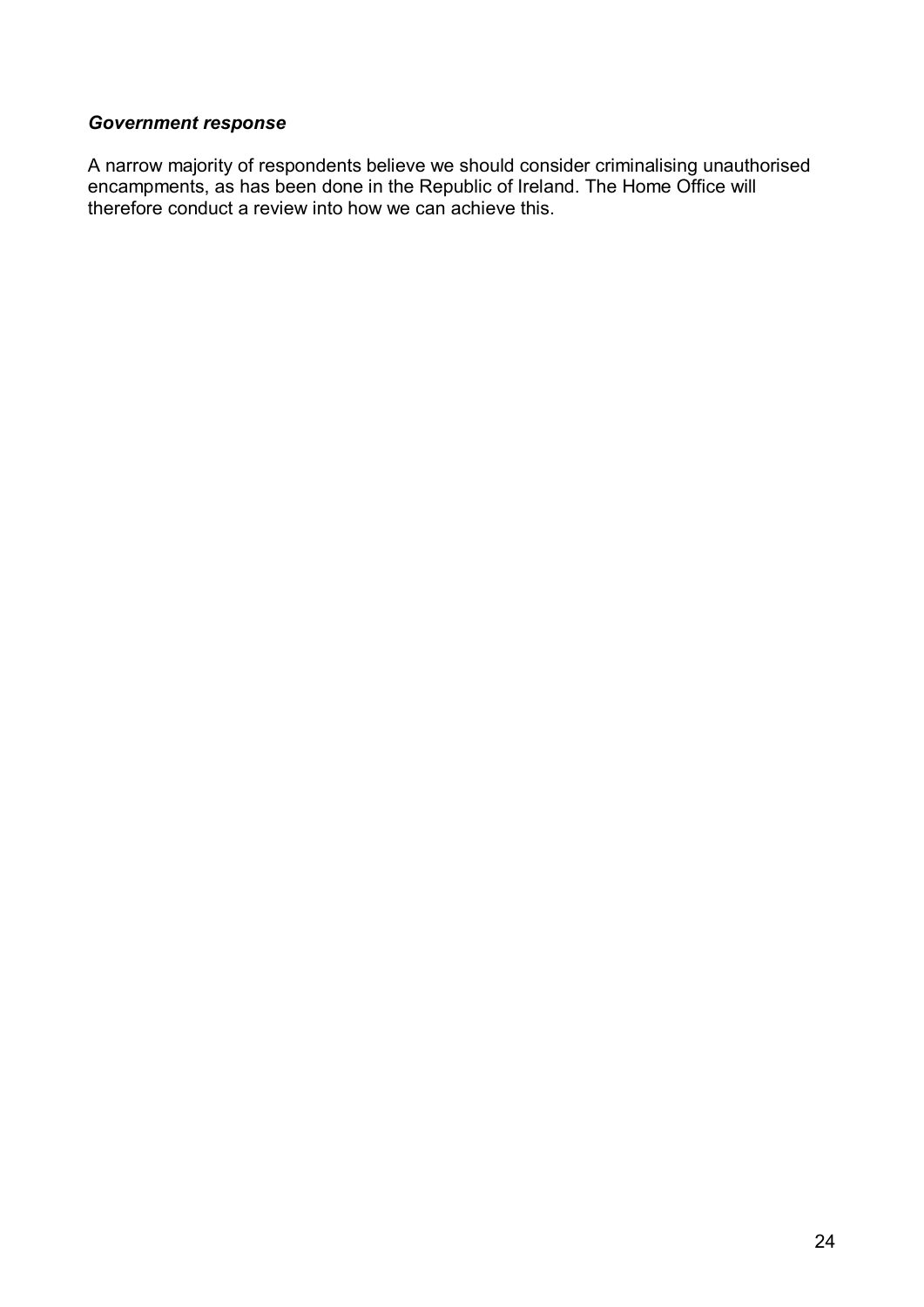### *Government response*

A narrow majority of respondents believe we should consider criminalising unauthorised encampments, as has been done in the Republic of Ireland. The Home Office will therefore conduct a review into how we can achieve this.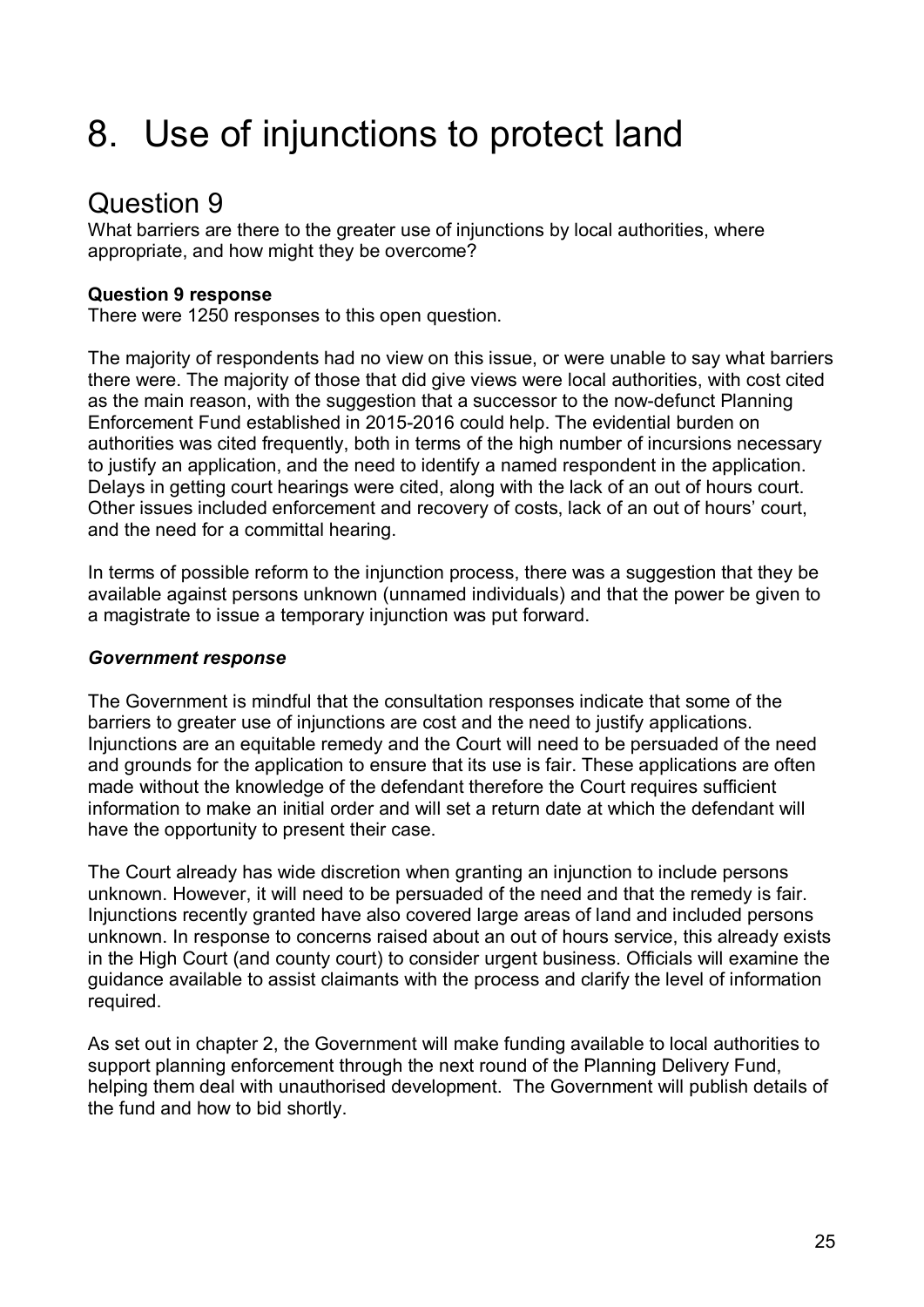# 8. Use of injunctions to protect land

# Question 9

What barriers are there to the greater use of injunctions by local authorities, where appropriate, and how might they be overcome?

## **Question 9 response**

There were 1250 responses to this open question.

The majority of respondents had no view on this issue, or were unable to say what barriers there were. The majority of those that did give views were local authorities, with cost cited as the main reason, with the suggestion that a successor to the now-defunct Planning Enforcement Fund established in 2015-2016 could help. The evidential burden on authorities was cited frequently, both in terms of the high number of incursions necessary to justify an application, and the need to identify a named respondent in the application. Delays in getting court hearings were cited, along with the lack of an out of hours court. Other issues included enforcement and recovery of costs, lack of an out of hours' court, and the need for a committal hearing.

In terms of possible reform to the injunction process, there was a suggestion that they be available against persons unknown (unnamed individuals) and that the power be given to a magistrate to issue a temporary injunction was put forward.

## *Government response*

The Government is mindful that the consultation responses indicate that some of the barriers to greater use of injunctions are cost and the need to justify applications. Injunctions are an equitable remedy and the Court will need to be persuaded of the need and grounds for the application to ensure that its use is fair. These applications are often made without the knowledge of the defendant therefore the Court requires sufficient information to make an initial order and will set a return date at which the defendant will have the opportunity to present their case.

The Court already has wide discretion when granting an injunction to include persons unknown. However, it will need to be persuaded of the need and that the remedy is fair. Injunctions recently granted have also covered large areas of land and included persons unknown. In response to concerns raised about an out of hours service, this already exists in the High Court (and county court) to consider urgent business. Officials will examine the guidance available to assist claimants with the process and clarify the level of information required.

As set out in chapter 2, the Government will make funding available to local authorities to support planning enforcement through the next round of the Planning Delivery Fund, helping them deal with unauthorised development. The Government will publish details of the fund and how to bid shortly.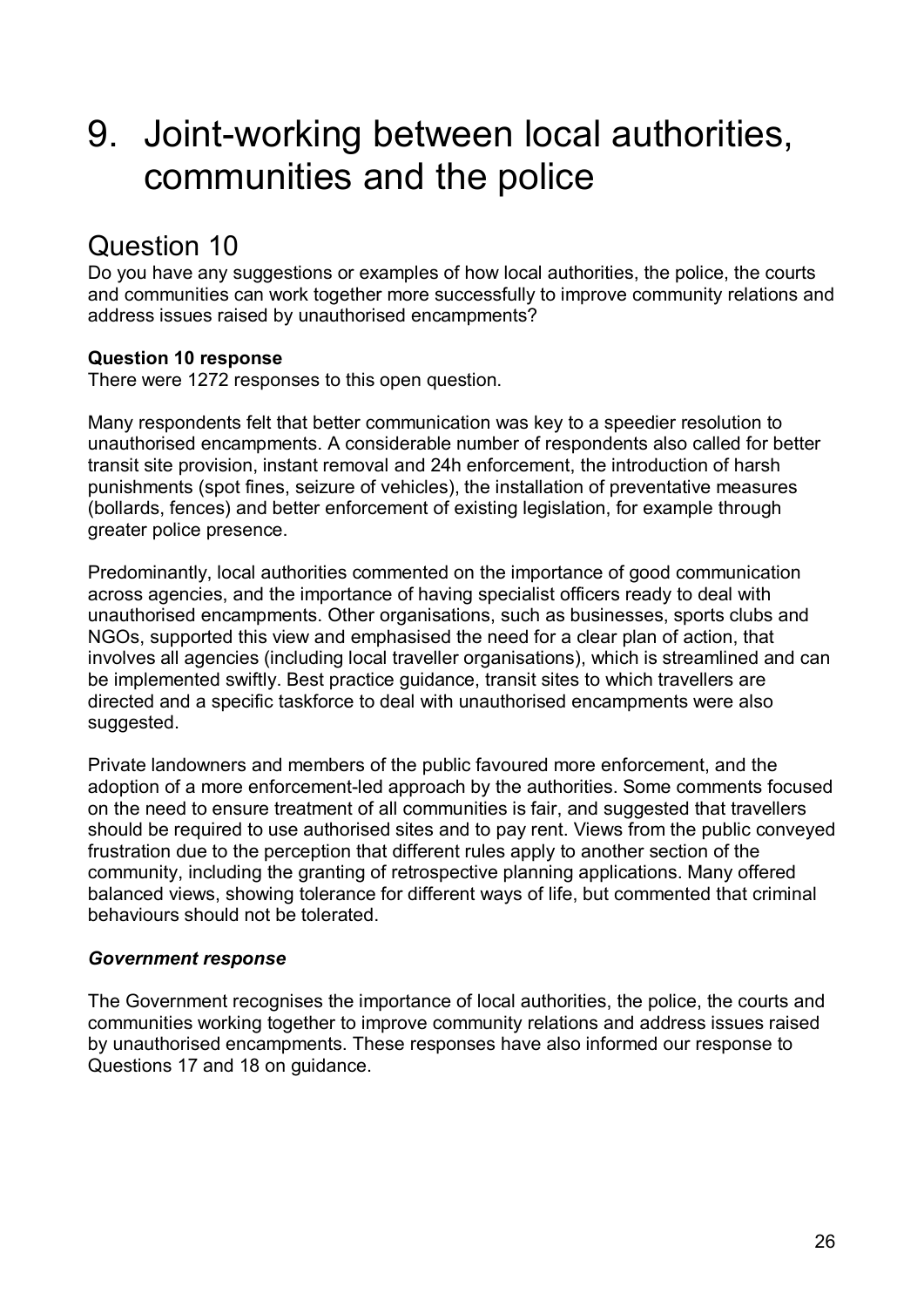# 9. Joint-working between local authorities, communities and the police

# Question 10

Do you have any suggestions or examples of how local authorities, the police, the courts and communities can work together more successfully to improve community relations and address issues raised by unauthorised encampments?

## **Question 10 response**

There were 1272 responses to this open question.

Many respondents felt that better communication was key to a speedier resolution to unauthorised encampments. A considerable number of respondents also called for better transit site provision, instant removal and 24h enforcement, the introduction of harsh punishments (spot fines, seizure of vehicles), the installation of preventative measures (bollards, fences) and better enforcement of existing legislation, for example through greater police presence.

Predominantly, local authorities commented on the importance of good communication across agencies, and the importance of having specialist officers ready to deal with unauthorised encampments. Other organisations, such as businesses, sports clubs and NGOs, supported this view and emphasised the need for a clear plan of action, that involves all agencies (including local traveller organisations), which is streamlined and can be implemented swiftly. Best practice guidance, transit sites to which travellers are directed and a specific taskforce to deal with unauthorised encampments were also suggested.

Private landowners and members of the public favoured more enforcement, and the adoption of a more enforcement-led approach by the authorities. Some comments focused on the need to ensure treatment of all communities is fair, and suggested that travellers should be required to use authorised sites and to pay rent. Views from the public conveyed frustration due to the perception that different rules apply to another section of the community, including the granting of retrospective planning applications. Many offered balanced views, showing tolerance for different ways of life, but commented that criminal behaviours should not be tolerated.

### *Government response*

The Government recognises the importance of local authorities, the police, the courts and communities working together to improve community relations and address issues raised by unauthorised encampments. These responses have also informed our response to Questions 17 and 18 on guidance.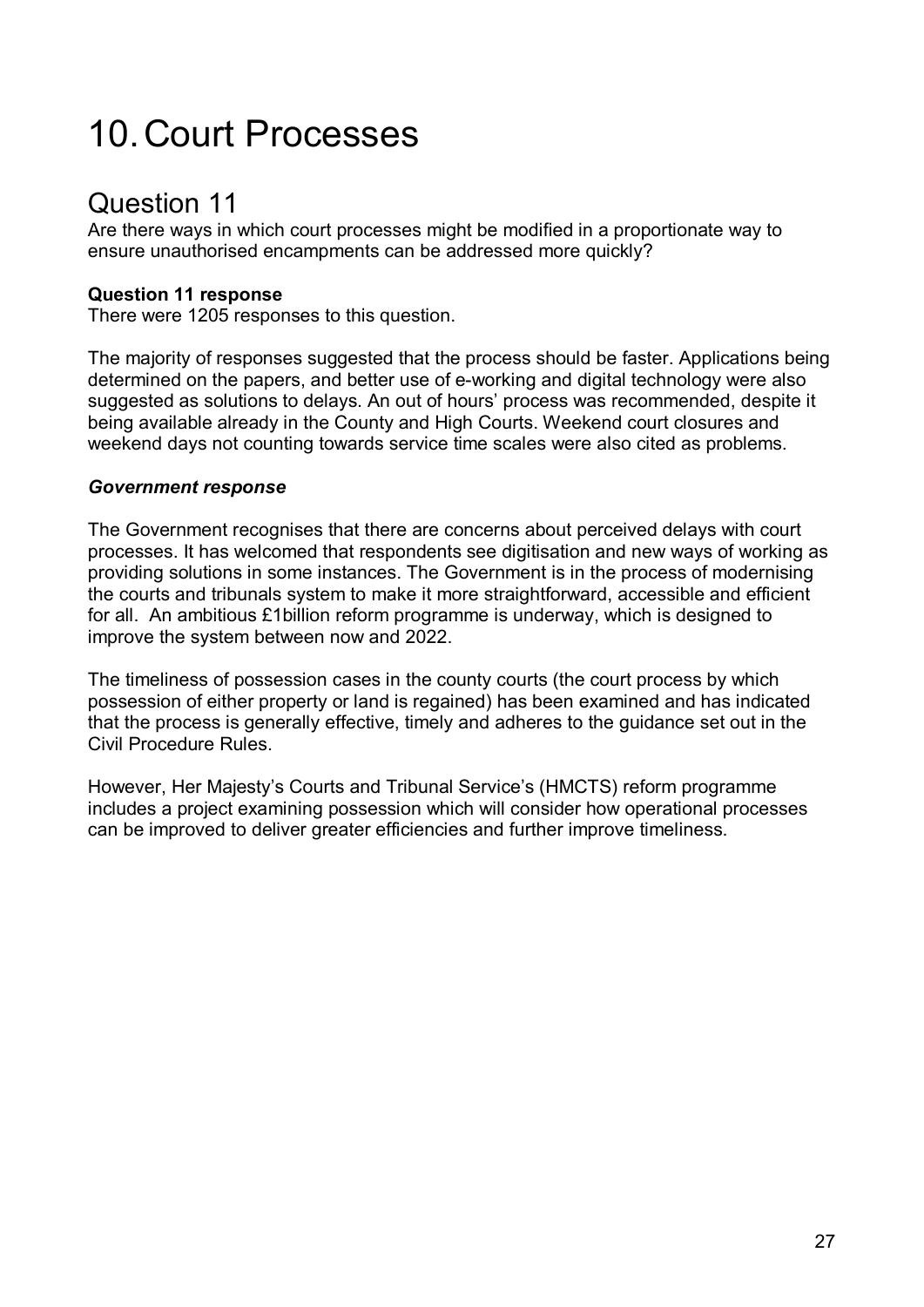# 10.Court Processes

# Question 11

Are there ways in which court processes might be modified in a proportionate way to ensure unauthorised encampments can be addressed more quickly?

## **Question 11 response**

There were 1205 responses to this question.

The majority of responses suggested that the process should be faster. Applications being determined on the papers, and better use of e-working and digital technology were also suggested as solutions to delays. An out of hours' process was recommended, despite it being available already in the County and High Courts. Weekend court closures and weekend days not counting towards service time scales were also cited as problems.

### *Government response*

The Government recognises that there are concerns about perceived delays with court processes. It has welcomed that respondents see digitisation and new ways of working as providing solutions in some instances. The Government is in the process of modernising the courts and tribunals system to make it more straightforward, accessible and efficient for all. An ambitious £1billion reform programme is underway, which is designed to improve the system between now and 2022.

The timeliness of possession cases in the county courts (the court process by which possession of either property or land is regained) has been examined and has indicated that the process is generally effective, timely and adheres to the guidance set out in the Civil Procedure Rules.

However, Her Majesty's Courts and Tribunal Service's (HMCTS) reform programme includes a project examining possession which will consider how operational processes can be improved to deliver greater efficiencies and further improve timeliness.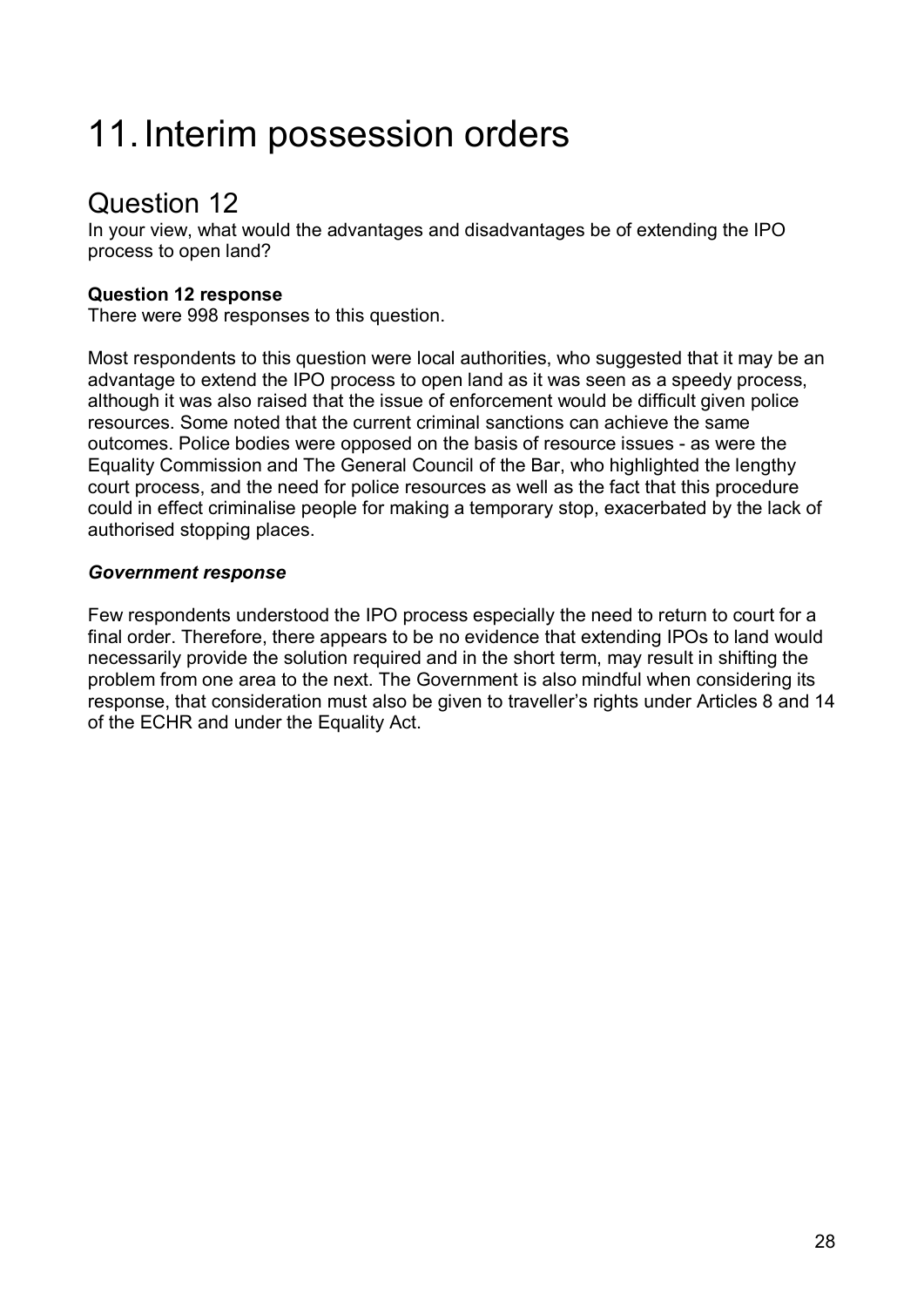# 11.Interim possession orders

# Question 12

In your view, what would the advantages and disadvantages be of extending the IPO process to open land?

## **Question 12 response**

There were 998 responses to this question.

Most respondents to this question were local authorities, who suggested that it may be an advantage to extend the IPO process to open land as it was seen as a speedy process, although it was also raised that the issue of enforcement would be difficult given police resources. Some noted that the current criminal sanctions can achieve the same outcomes. Police bodies were opposed on the basis of resource issues - as were the Equality Commission and The General Council of the Bar, who highlighted the lengthy court process, and the need for police resources as well as the fact that this procedure could in effect criminalise people for making a temporary stop, exacerbated by the lack of authorised stopping places.

### *Government response*

Few respondents understood the IPO process especially the need to return to court for a final order. Therefore, there appears to be no evidence that extending IPOs to land would necessarily provide the solution required and in the short term, may result in shifting the problem from one area to the next. The Government is also mindful when considering its response, that consideration must also be given to traveller's rights under Articles 8 and 14 of the ECHR and under the Equality Act.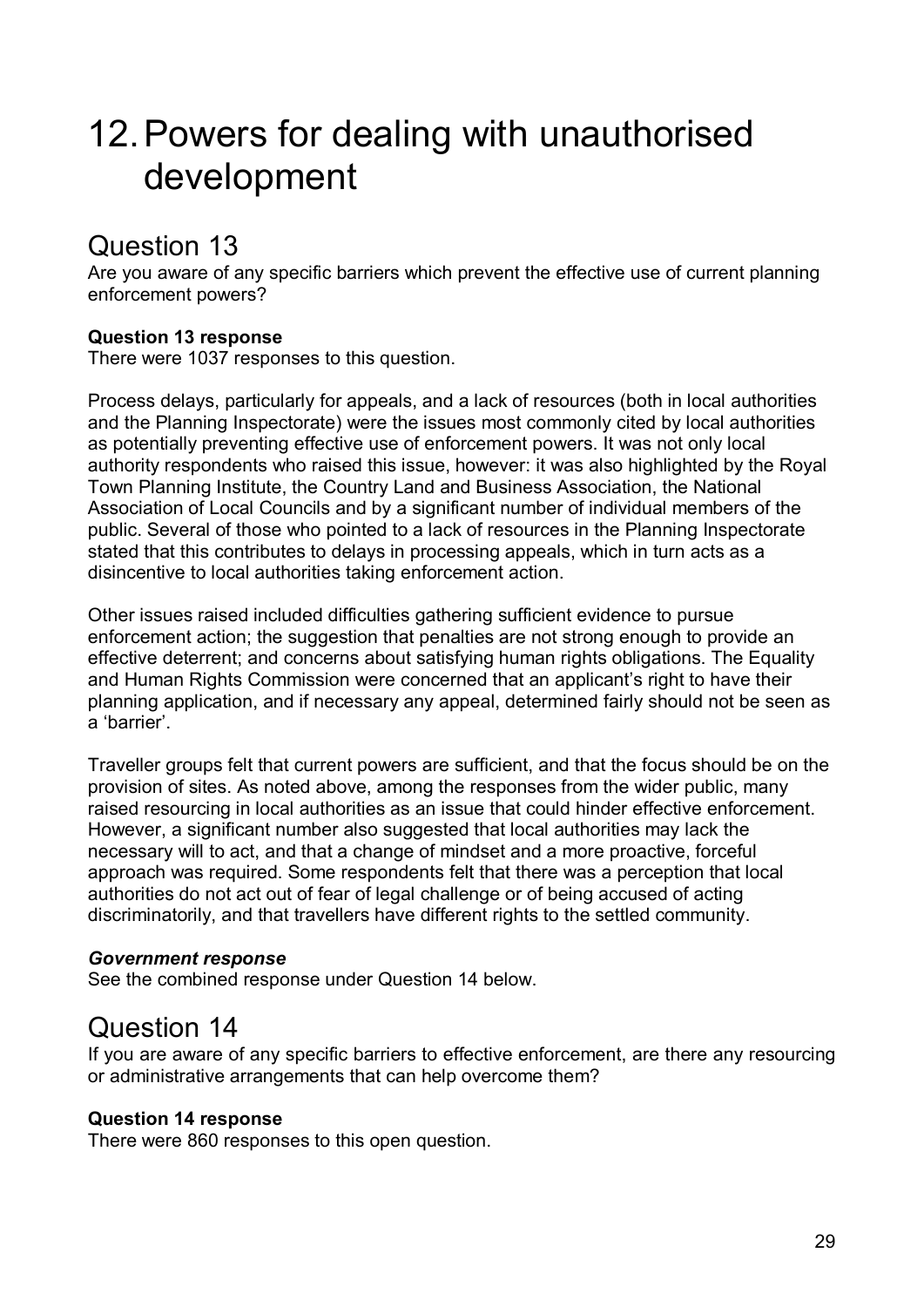# 12.Powers for dealing with unauthorised development

# Question 13

Are you aware of any specific barriers which prevent the effective use of current planning enforcement powers?

## **Question 13 response**

There were 1037 responses to this question.

Process delays, particularly for appeals, and a lack of resources (both in local authorities and the Planning Inspectorate) were the issues most commonly cited by local authorities as potentially preventing effective use of enforcement powers. It was not only local authority respondents who raised this issue, however: it was also highlighted by the Royal Town Planning Institute, the Country Land and Business Association, the National Association of Local Councils and by a significant number of individual members of the public. Several of those who pointed to a lack of resources in the Planning Inspectorate stated that this contributes to delays in processing appeals, which in turn acts as a disincentive to local authorities taking enforcement action.

Other issues raised included difficulties gathering sufficient evidence to pursue enforcement action; the suggestion that penalties are not strong enough to provide an effective deterrent; and concerns about satisfying human rights obligations. The Equality and Human Rights Commission were concerned that an applicant's right to have their planning application, and if necessary any appeal, determined fairly should not be seen as a 'barrier'.

Traveller groups felt that current powers are sufficient, and that the focus should be on the provision of sites. As noted above, among the responses from the wider public, many raised resourcing in local authorities as an issue that could hinder effective enforcement. However, a significant number also suggested that local authorities may lack the necessary will to act, and that a change of mindset and a more proactive, forceful approach was required. Some respondents felt that there was a perception that local authorities do not act out of fear of legal challenge or of being accused of acting discriminatorily, and that travellers have different rights to the settled community.

### *Government response*

See the combined response under Question 14 below.

# Question 14

If you are aware of any specific barriers to effective enforcement, are there any resourcing or administrative arrangements that can help overcome them?

### **Question 14 response**

There were 860 responses to this open question.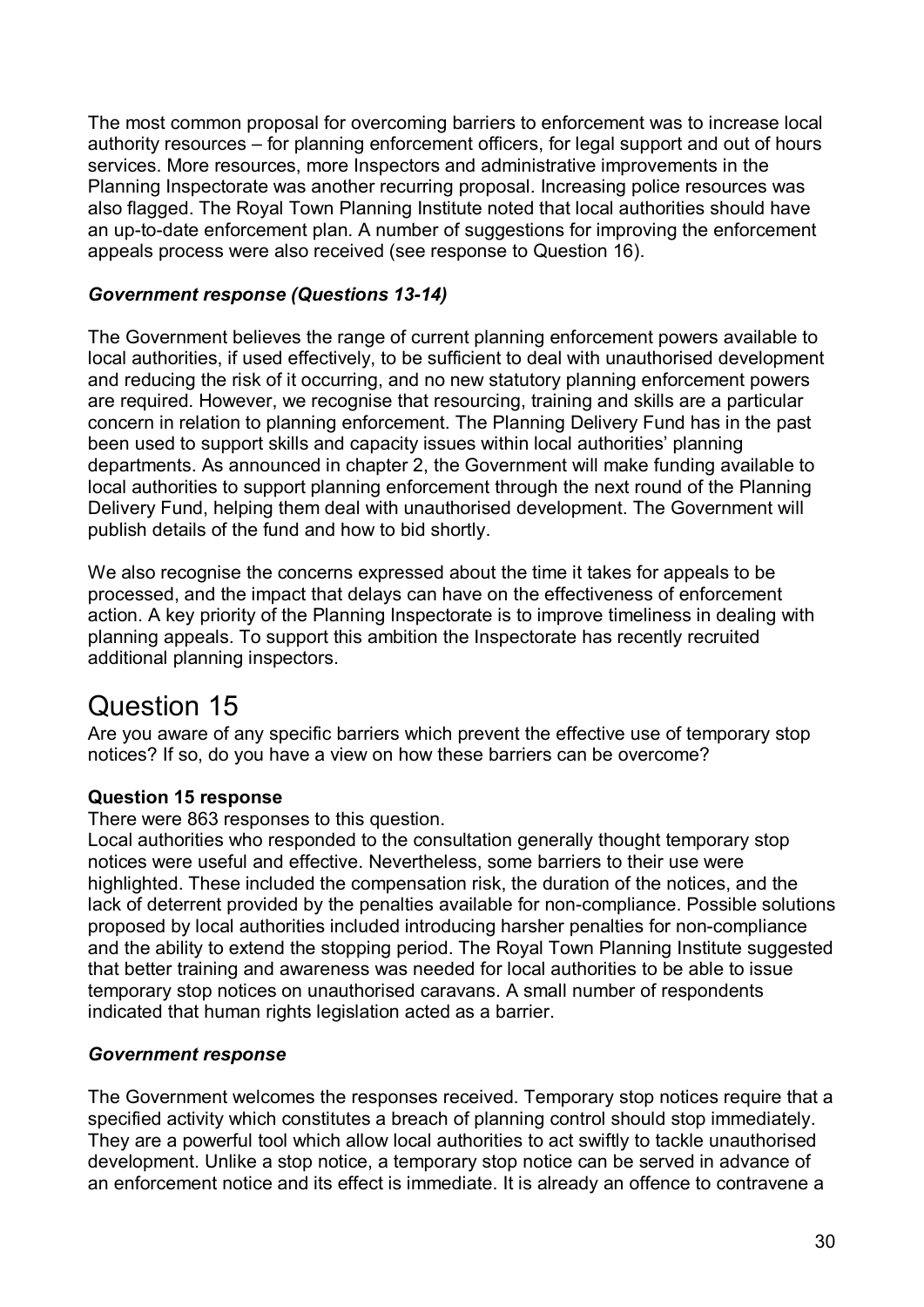The most common proposal for overcoming barriers to enforcement was to increase local authority resources – for planning enforcement officers, for legal support and out of hours services. More resources, more Inspectors and administrative improvements in the Planning Inspectorate was another recurring proposal. Increasing police resources was also flagged. The Royal Town Planning Institute noted that local authorities should have an up-to-date enforcement plan. A number of suggestions for improving the enforcement appeals process were also received (see response to Question 16).

### *Government response (Questions 13-14)*

The Government believes the range of current planning enforcement powers available to local authorities, if used effectively, to be sufficient to deal with unauthorised development and reducing the risk of it occurring, and no new statutory planning enforcement powers are required. However, we recognise that resourcing, training and skills are a particular concern in relation to planning enforcement. The Planning Delivery Fund has in the past been used to support skills and capacity issues within local authorities' planning departments. As announced in chapter 2, the Government will make funding available to local authorities to support planning enforcement through the next round of the Planning Delivery Fund, helping them deal with unauthorised development. The Government will publish details of the fund and how to bid shortly.

We also recognise the concerns expressed about the time it takes for appeals to be processed, and the impact that delays can have on the effectiveness of enforcement action. A key priority of the Planning Inspectorate is to improve timeliness in dealing with planning appeals. To support this ambition the Inspectorate has recently recruited additional planning inspectors.

# Question 15

Are you aware of any specific barriers which prevent the effective use of temporary stop notices? If so, do you have a view on how these barriers can be overcome?

## **Question 15 response**

There were 863 responses to this question.

Local authorities who responded to the consultation generally thought temporary stop notices were useful and effective. Nevertheless, some barriers to their use were highlighted. These included the compensation risk, the duration of the notices, and the lack of deterrent provided by the penalties available for non-compliance. Possible solutions proposed by local authorities included introducing harsher penalties for non-compliance and the ability to extend the stopping period. The Royal Town Planning Institute suggested that better training and awareness was needed for local authorities to be able to issue temporary stop notices on unauthorised caravans. A small number of respondents indicated that human rights legislation acted as a barrier.

### *Government response*

The Government welcomes the responses received. Temporary stop notices require that a specified activity which constitutes a breach of planning control should stop immediately. They are a powerful tool which allow local authorities to act swiftly to tackle unauthorised development. Unlike a stop notice, a temporary stop notice can be served in advance of an enforcement notice and its effect is immediate. It is already an offence to contravene a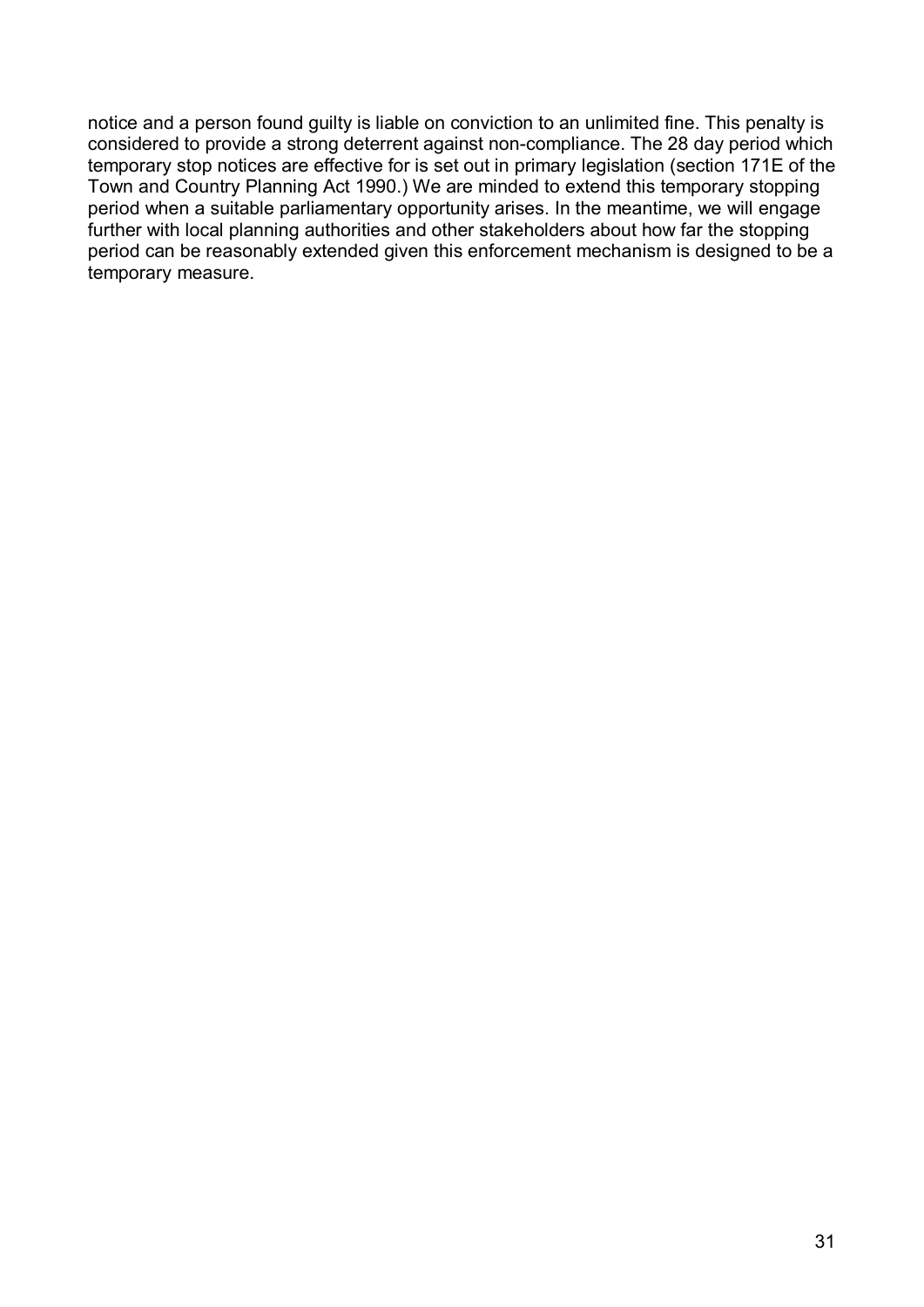notice and a person found guilty is liable on conviction to an unlimited fine. This penalty is considered to provide a strong deterrent against non-compliance. The 28 day period which temporary stop notices are effective for is set out in primary legislation (section 171E of the Town and Country Planning Act 1990.) We are minded to extend this temporary stopping period when a suitable parliamentary opportunity arises. In the meantime, we will engage further with local planning authorities and other stakeholders about how far the stopping period can be reasonably extended given this enforcement mechanism is designed to be a temporary measure.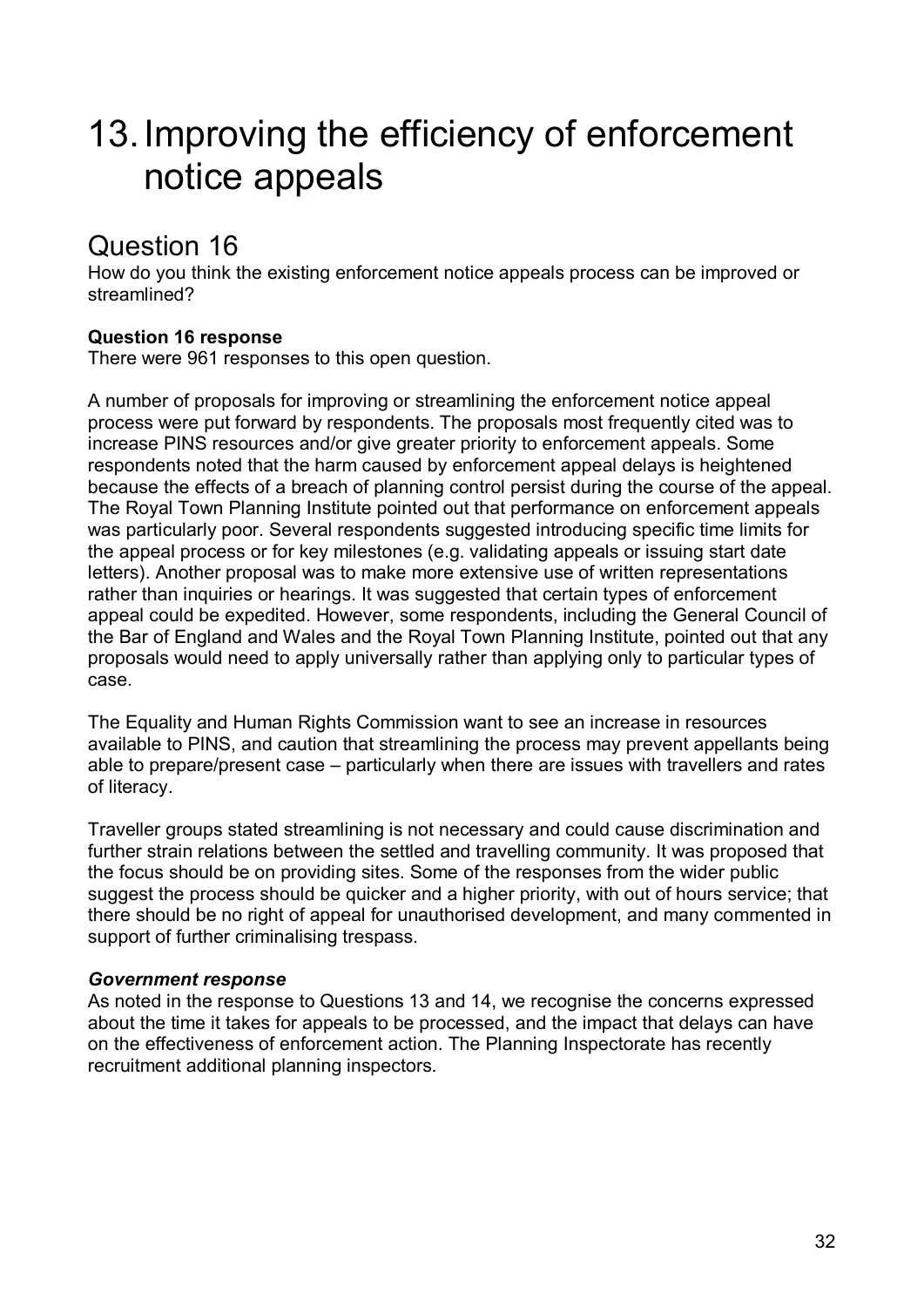# 13.Improving the efficiency of enforcement notice appeals

# Question 16

How do you think the existing enforcement notice appeals process can be improved or streamlined?

## **Question 16 response**

There were 961 responses to this open question.

A number of proposals for improving or streamlining the enforcement notice appeal process were put forward by respondents. The proposals most frequently cited was to increase PINS resources and/or give greater priority to enforcement appeals. Some respondents noted that the harm caused by enforcement appeal delays is heightened because the effects of a breach of planning control persist during the course of the appeal. The Royal Town Planning Institute pointed out that performance on enforcement appeals was particularly poor. Several respondents suggested introducing specific time limits for the appeal process or for key milestones (e.g. validating appeals or issuing start date letters). Another proposal was to make more extensive use of written representations rather than inquiries or hearings. It was suggested that certain types of enforcement appeal could be expedited. However, some respondents, including the General Council of the Bar of England and Wales and the Royal Town Planning Institute, pointed out that any proposals would need to apply universally rather than applying only to particular types of case.

The Equality and Human Rights Commission want to see an increase in resources available to PINS, and caution that streamlining the process may prevent appellants being able to prepare/present case – particularly when there are issues with travellers and rates of literacy.

Traveller groups stated streamlining is not necessary and could cause discrimination and further strain relations between the settled and travelling community. It was proposed that the focus should be on providing sites. Some of the responses from the wider public suggest the process should be quicker and a higher priority, with out of hours service; that there should be no right of appeal for unauthorised development, and many commented in support of further criminalising trespass.

### *Government response*

As noted in the response to Questions 13 and 14, we recognise the concerns expressed about the time it takes for appeals to be processed, and the impact that delays can have on the effectiveness of enforcement action. The Planning Inspectorate has recently recruitment additional planning inspectors.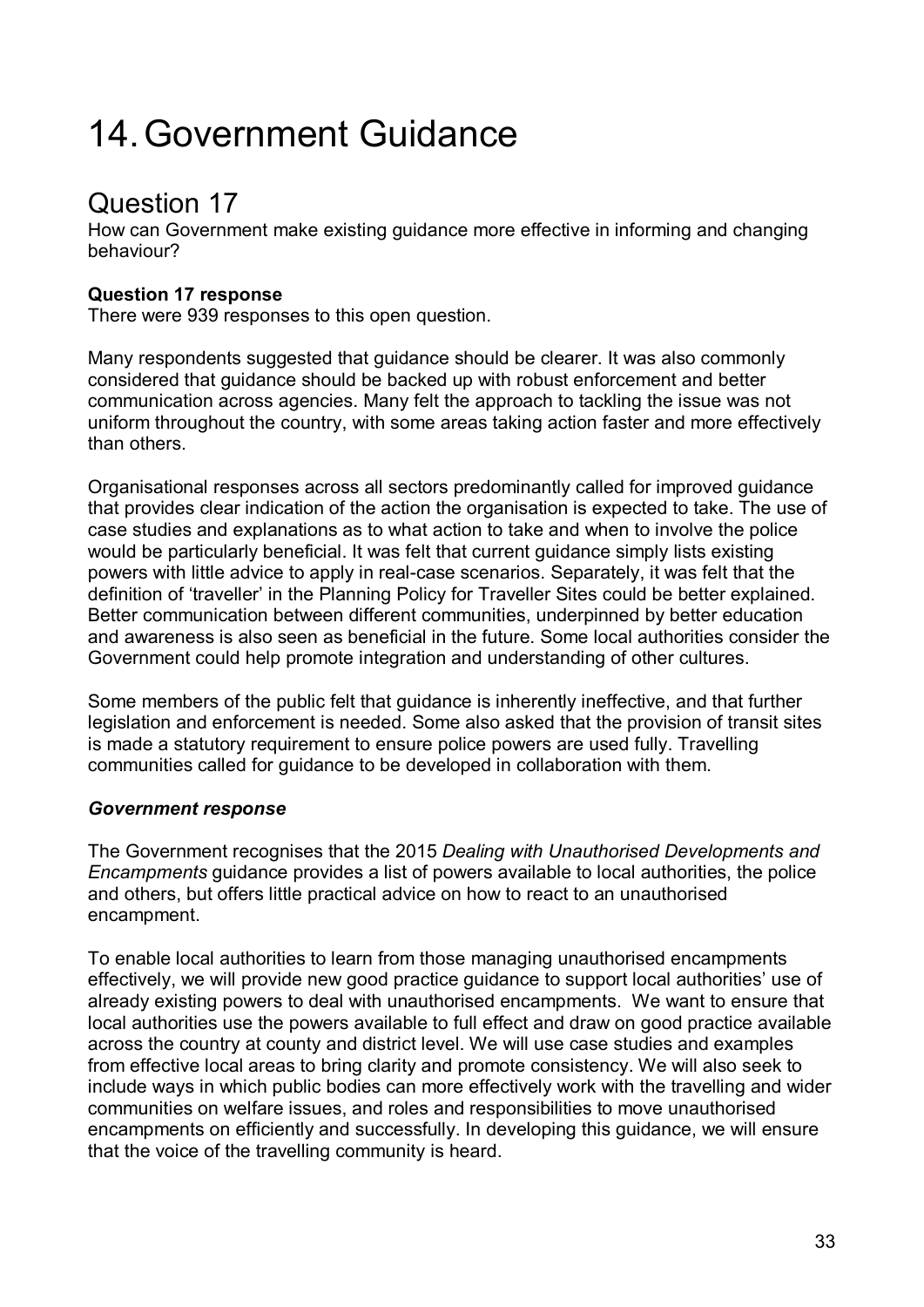# 14.Government Guidance

# Question 17

How can Government make existing guidance more effective in informing and changing behaviour?

## **Question 17 response**

There were 939 responses to this open question.

Many respondents suggested that guidance should be clearer. It was also commonly considered that guidance should be backed up with robust enforcement and better communication across agencies. Many felt the approach to tackling the issue was not uniform throughout the country, with some areas taking action faster and more effectively than others.

Organisational responses across all sectors predominantly called for improved guidance that provides clear indication of the action the organisation is expected to take. The use of case studies and explanations as to what action to take and when to involve the police would be particularly beneficial. It was felt that current guidance simply lists existing powers with little advice to apply in real-case scenarios. Separately, it was felt that the definition of 'traveller' in the Planning Policy for Traveller Sites could be better explained. Better communication between different communities, underpinned by better education and awareness is also seen as beneficial in the future. Some local authorities consider the Government could help promote integration and understanding of other cultures.

Some members of the public felt that guidance is inherently ineffective, and that further legislation and enforcement is needed. Some also asked that the provision of transit sites is made a statutory requirement to ensure police powers are used fully. Travelling communities called for guidance to be developed in collaboration with them.

## *Government response*

The Government recognises that the 2015 *Dealing with Unauthorised Developments and Encampments* guidance provides a list of powers available to local authorities, the police and others, but offers little practical advice on how to react to an unauthorised encampment.

To enable local authorities to learn from those managing unauthorised encampments effectively, we will provide new good practice guidance to support local authorities' use of already existing powers to deal with unauthorised encampments. We want to ensure that local authorities use the powers available to full effect and draw on good practice available across the country at county and district level. We will use case studies and examples from effective local areas to bring clarity and promote consistency. We will also seek to include ways in which public bodies can more effectively work with the travelling and wider communities on welfare issues, and roles and responsibilities to move unauthorised encampments on efficiently and successfully. In developing this guidance, we will ensure that the voice of the travelling community is heard.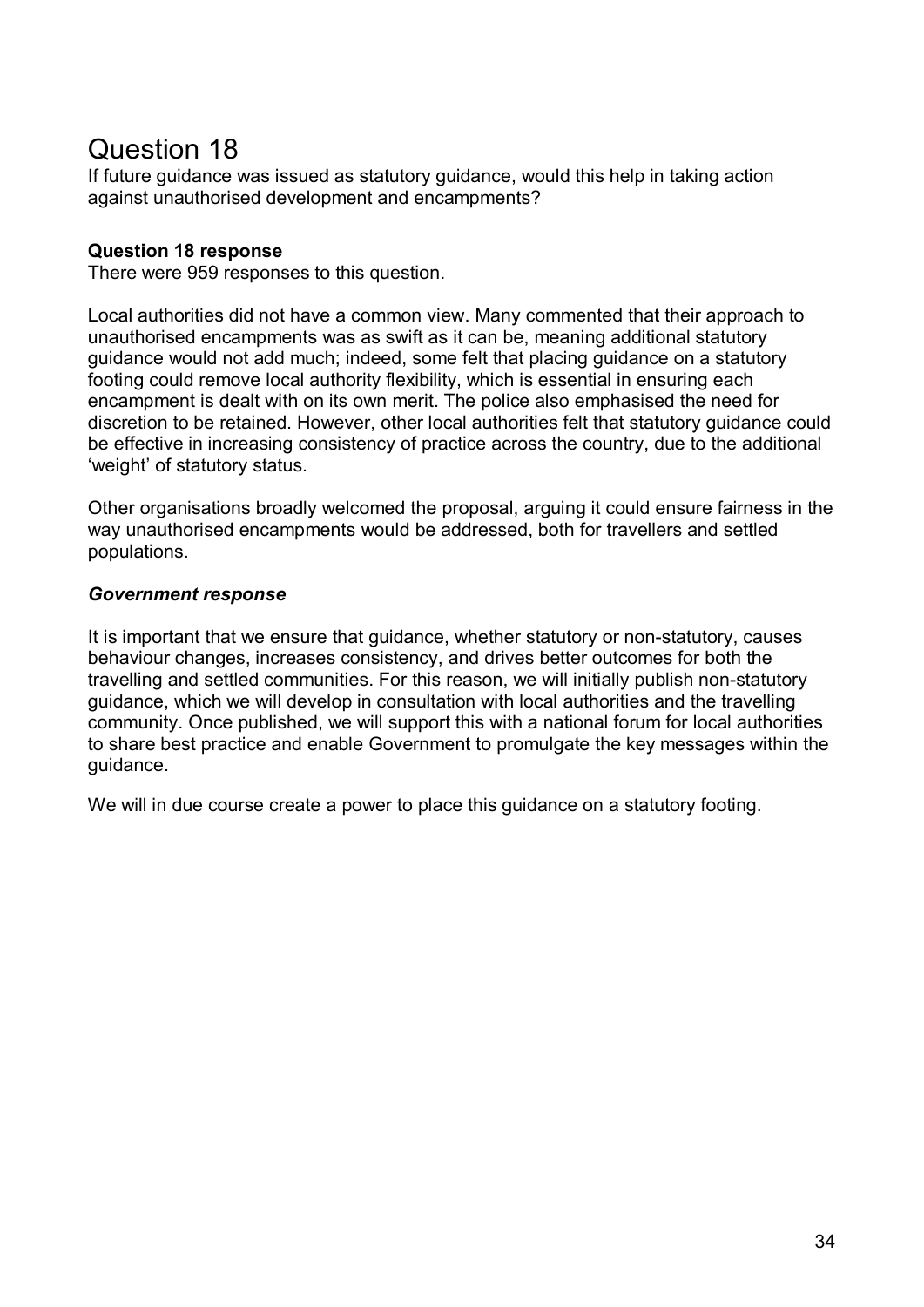# Question 18

If future guidance was issued as statutory guidance, would this help in taking action against unauthorised development and encampments?

### **Question 18 response**

There were 959 responses to this question.

Local authorities did not have a common view. Many commented that their approach to unauthorised encampments was as swift as it can be, meaning additional statutory guidance would not add much; indeed, some felt that placing guidance on a statutory footing could remove local authority flexibility, which is essential in ensuring each encampment is dealt with on its own merit. The police also emphasised the need for discretion to be retained. However, other local authorities felt that statutory guidance could be effective in increasing consistency of practice across the country, due to the additional 'weight' of statutory status.

Other organisations broadly welcomed the proposal, arguing it could ensure fairness in the way unauthorised encampments would be addressed, both for travellers and settled populations.

### *Government response*

It is important that we ensure that guidance, whether statutory or non-statutory, causes behaviour changes, increases consistency, and drives better outcomes for both the travelling and settled communities. For this reason, we will initially publish non-statutory guidance, which we will develop in consultation with local authorities and the travelling community. Once published, we will support this with a national forum for local authorities to share best practice and enable Government to promulgate the key messages within the guidance.

We will in due course create a power to place this guidance on a statutory footing.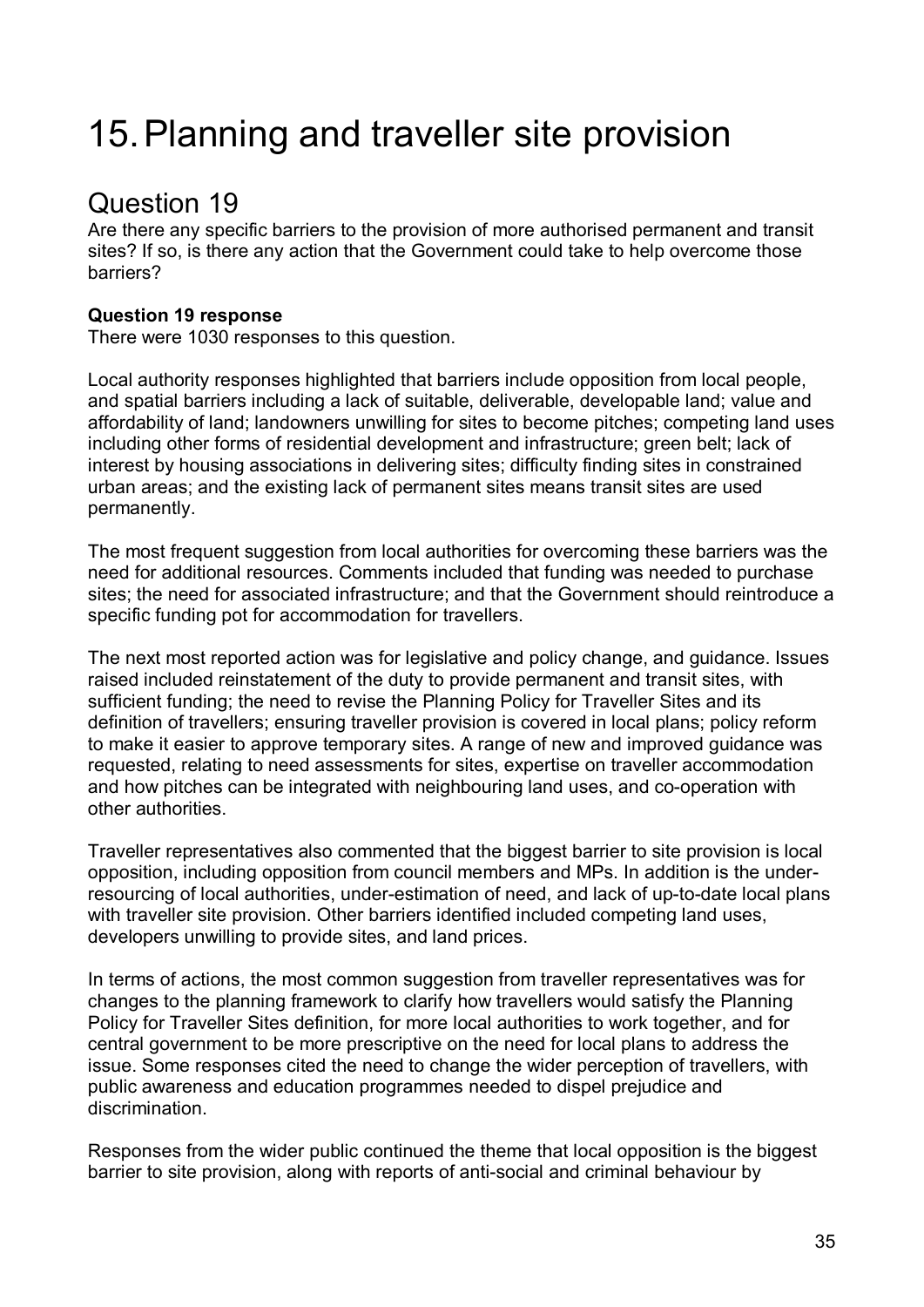# 15.Planning and traveller site provision

# Question 19

Are there any specific barriers to the provision of more authorised permanent and transit sites? If so, is there any action that the Government could take to help overcome those barriers?

## **Question 19 response**

There were 1030 responses to this question.

Local authority responses highlighted that barriers include opposition from local people, and spatial barriers including a lack of suitable, deliverable, developable land; value and affordability of land; landowners unwilling for sites to become pitches; competing land uses including other forms of residential development and infrastructure; green belt; lack of interest by housing associations in delivering sites; difficulty finding sites in constrained urban areas; and the existing lack of permanent sites means transit sites are used permanently.

The most frequent suggestion from local authorities for overcoming these barriers was the need for additional resources. Comments included that funding was needed to purchase sites; the need for associated infrastructure; and that the Government should reintroduce a specific funding pot for accommodation for travellers.

The next most reported action was for legislative and policy change, and guidance. Issues raised included reinstatement of the duty to provide permanent and transit sites, with sufficient funding; the need to revise the Planning Policy for Traveller Sites and its definition of travellers; ensuring traveller provision is covered in local plans; policy reform to make it easier to approve temporary sites. A range of new and improved guidance was requested, relating to need assessments for sites, expertise on traveller accommodation and how pitches can be integrated with neighbouring land uses, and co-operation with other authorities.

Traveller representatives also commented that the biggest barrier to site provision is local opposition, including opposition from council members and MPs. In addition is the underresourcing of local authorities, under-estimation of need, and lack of up-to-date local plans with traveller site provision. Other barriers identified included competing land uses, developers unwilling to provide sites, and land prices.

In terms of actions, the most common suggestion from traveller representatives was for changes to the planning framework to clarify how travellers would satisfy the Planning Policy for Traveller Sites definition, for more local authorities to work together, and for central government to be more prescriptive on the need for local plans to address the issue. Some responses cited the need to change the wider perception of travellers, with public awareness and education programmes needed to dispel prejudice and discrimination.

Responses from the wider public continued the theme that local opposition is the biggest barrier to site provision, along with reports of anti-social and criminal behaviour by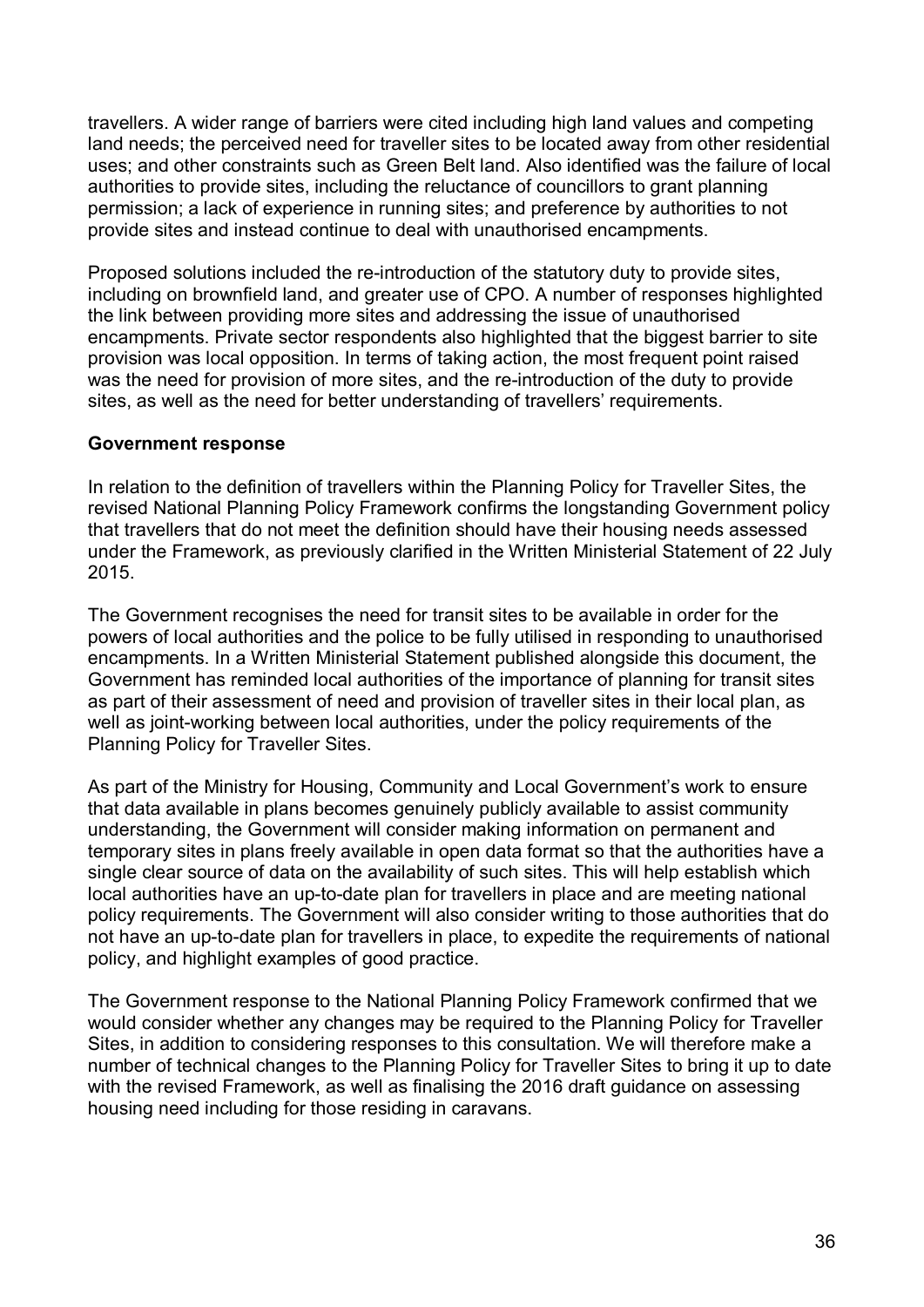travellers. A wider range of barriers were cited including high land values and competing land needs; the perceived need for traveller sites to be located away from other residential uses; and other constraints such as Green Belt land. Also identified was the failure of local authorities to provide sites, including the reluctance of councillors to grant planning permission; a lack of experience in running sites; and preference by authorities to not provide sites and instead continue to deal with unauthorised encampments.

Proposed solutions included the re-introduction of the statutory duty to provide sites, including on brownfield land, and greater use of CPO. A number of responses highlighted the link between providing more sites and addressing the issue of unauthorised encampments. Private sector respondents also highlighted that the biggest barrier to site provision was local opposition. In terms of taking action, the most frequent point raised was the need for provision of more sites, and the re-introduction of the duty to provide sites, as well as the need for better understanding of travellers' requirements.

#### **Government response**

In relation to the definition of travellers within the Planning Policy for Traveller Sites, the revised National Planning Policy Framework confirms the longstanding Government policy that travellers that do not meet the definition should have their housing needs assessed under the Framework, as previously clarified in the Written Ministerial Statement of 22 July 2015.

The Government recognises the need for transit sites to be available in order for the powers of local authorities and the police to be fully utilised in responding to unauthorised encampments. In a Written Ministerial Statement published alongside this document, the Government has reminded local authorities of the importance of planning for transit sites as part of their assessment of need and provision of traveller sites in their local plan, as well as joint-working between local authorities, under the policy requirements of the Planning Policy for Traveller Sites.

As part of the Ministry for Housing, Community and Local Government's work to ensure that data available in plans becomes genuinely publicly available to assist community understanding, the Government will consider making information on permanent and temporary sites in plans freely available in open data format so that the authorities have a single clear source of data on the availability of such sites. This will help establish which local authorities have an up-to-date plan for travellers in place and are meeting national policy requirements. The Government will also consider writing to those authorities that do not have an up-to-date plan for travellers in place, to expedite the requirements of national policy, and highlight examples of good practice.

The Government response to the National Planning Policy Framework confirmed that we would consider whether any changes may be required to the Planning Policy for Traveller Sites, in addition to considering responses to this consultation. We will therefore make a number of technical changes to the Planning Policy for Traveller Sites to bring it up to date with the revised Framework, as well as finalising the 2016 draft guidance on assessing housing need including for those residing in caravans.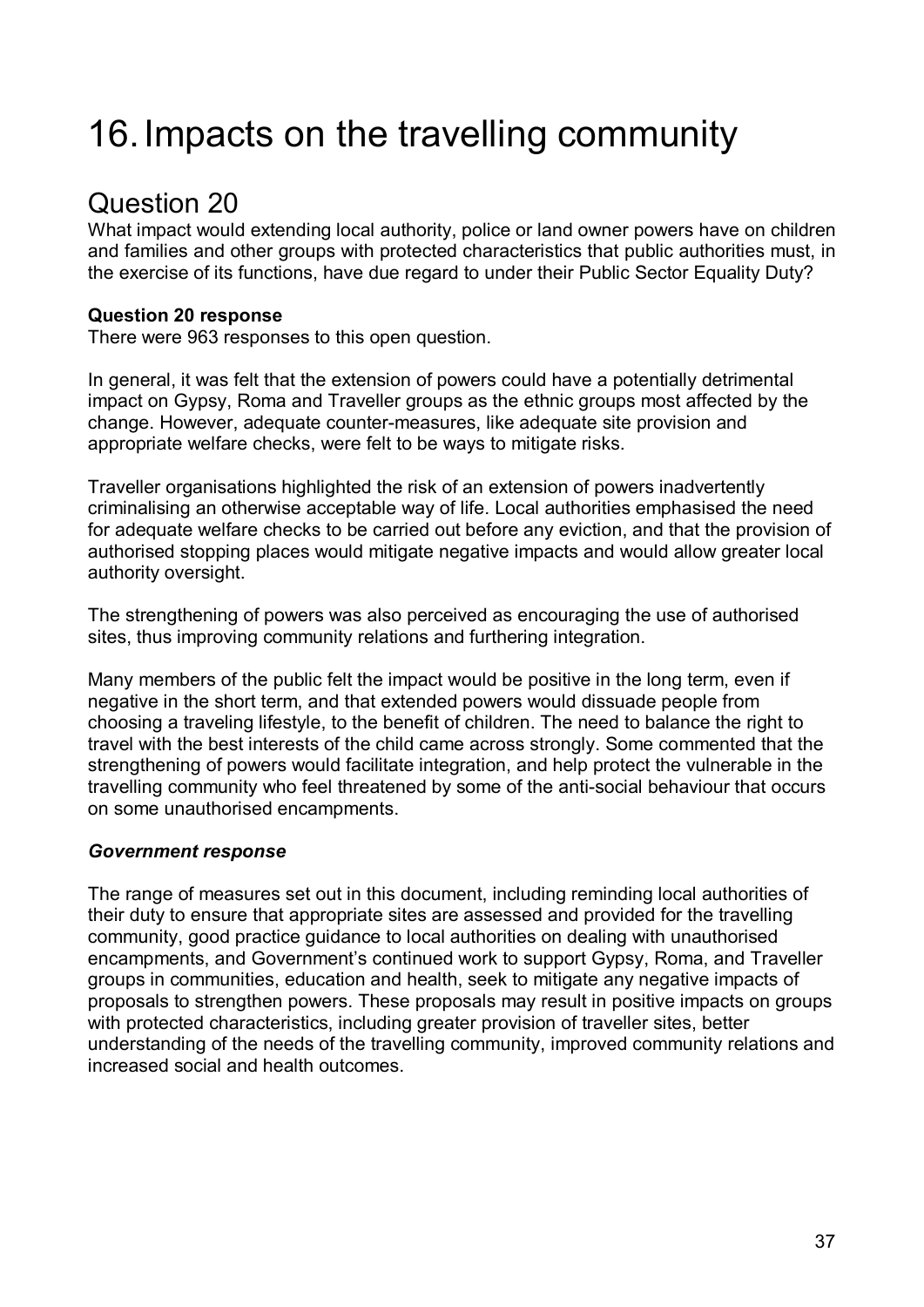# 16.Impacts on the travelling community

# Question 20

What impact would extending local authority, police or land owner powers have on children and families and other groups with protected characteristics that public authorities must, in the exercise of its functions, have due regard to under their Public Sector Equality Duty?

### **Question 20 response**

There were 963 responses to this open question.

In general, it was felt that the extension of powers could have a potentially detrimental impact on Gypsy, Roma and Traveller groups as the ethnic groups most affected by the change. However, adequate counter-measures, like adequate site provision and appropriate welfare checks, were felt to be ways to mitigate risks.

Traveller organisations highlighted the risk of an extension of powers inadvertently criminalising an otherwise acceptable way of life. Local authorities emphasised the need for adequate welfare checks to be carried out before any eviction, and that the provision of authorised stopping places would mitigate negative impacts and would allow greater local authority oversight.

The strengthening of powers was also perceived as encouraging the use of authorised sites, thus improving community relations and furthering integration.

Many members of the public felt the impact would be positive in the long term, even if negative in the short term, and that extended powers would dissuade people from choosing a traveling lifestyle, to the benefit of children. The need to balance the right to travel with the best interests of the child came across strongly. Some commented that the strengthening of powers would facilitate integration, and help protect the vulnerable in the travelling community who feel threatened by some of the anti-social behaviour that occurs on some unauthorised encampments.

### *Government response*

The range of measures set out in this document, including reminding local authorities of their duty to ensure that appropriate sites are assessed and provided for the travelling community, good practice guidance to local authorities on dealing with unauthorised encampments, and Government's continued work to support Gypsy, Roma, and Traveller groups in communities, education and health, seek to mitigate any negative impacts of proposals to strengthen powers. These proposals may result in positive impacts on groups with protected characteristics, including greater provision of traveller sites, better understanding of the needs of the travelling community, improved community relations and increased social and health outcomes.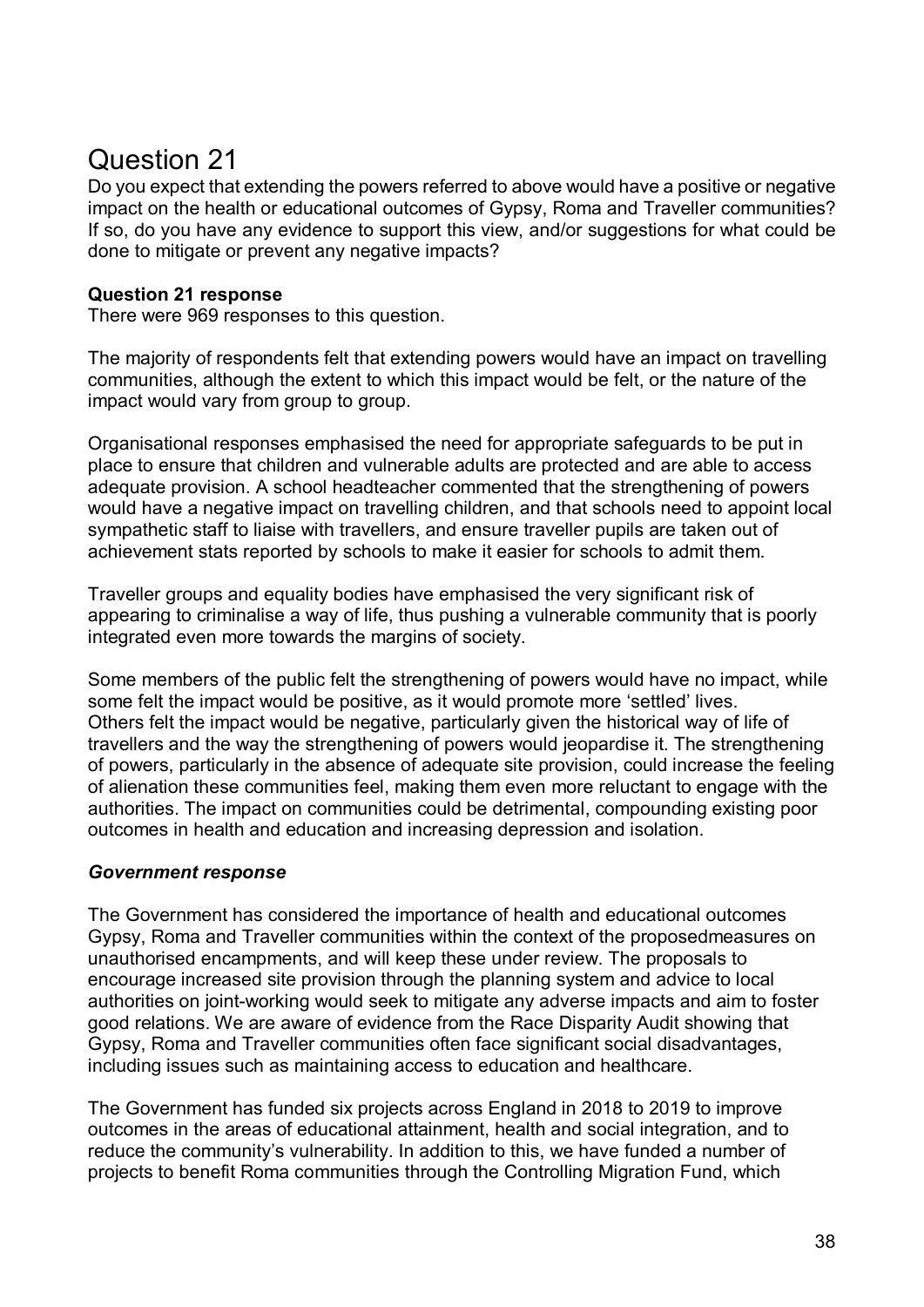# Question 21

Do you expect that extending the powers referred to above would have a positive or negative impact on the health or educational outcomes of Gypsy, Roma and Traveller communities? If so, do you have any evidence to support this view, and/or suggestions for what could be done to mitigate or prevent any negative impacts?

### **Question 21 response**

There were 969 responses to this question.

The majority of respondents felt that extending powers would have an impact on travelling communities, although the extent to which this impact would be felt, or the nature of the impact would vary from group to group.

Organisational responses emphasised the need for appropriate safeguards to be put in place to ensure that children and vulnerable adults are protected and are able to access adequate provision. A school headteacher commented that the strengthening of powers would have a negative impact on travelling children, and that schools need to appoint local sympathetic staff to liaise with travellers, and ensure traveller pupils are taken out of achievement stats reported by schools to make it easier for schools to admit them.

Traveller groups and equality bodies have emphasised the very significant risk of appearing to criminalise a way of life, thus pushing a vulnerable community that is poorly integrated even more towards the margins of society.

Some members of the public felt the strengthening of powers would have no impact, while some felt the impact would be positive, as it would promote more 'settled' lives. Others felt the impact would be negative, particularly given the historical way of life of travellers and the way the strengthening of powers would jeopardise it. The strengthening of powers, particularly in the absence of adequate site provision, could increase the feeling of alienation these communities feel, making them even more reluctant to engage with the authorities. The impact on communities could be detrimental, compounding existing poor outcomes in health and education and increasing depression and isolation.

### *Government response*

The Government has considered the importance of health and educational outcomes Gypsy, Roma and Traveller communities within the context of the proposedmeasures on unauthorised encampments, and will keep these under review. The proposals to encourage increased site provision through the planning system and advice to local authorities on joint-working would seek to mitigate any adverse impacts and aim to foster good relations. We are aware of evidence from the Race Disparity Audit showing that Gypsy, Roma and Traveller communities often face significant social disadvantages, including issues such as maintaining access to education and healthcare.

The Government has funded six projects across England in 2018 to 2019 to improve outcomes in the areas of educational attainment, health and social integration, and to reduce the community's vulnerability. In addition to this, we have funded a number of projects to benefit Roma communities through the Controlling Migration Fund, which